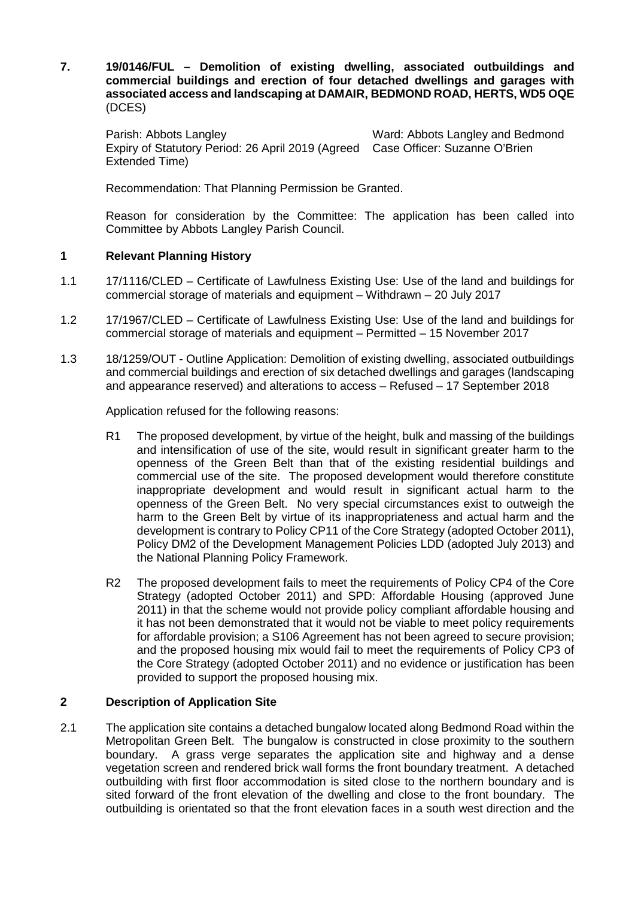**7. 19/0146/FUL – Demolition of existing dwelling, associated outbuildings and commercial buildings and erection of four detached dwellings and garages with associated access and landscaping at DAMAIR, BEDMOND ROAD, HERTS, WD5 OQE** (DCES)

Parish: Abbots Langley Ward: Abbots Langley and Bedmond Expiry of Statutory Period: 26 April 2019 (Agreed Case Officer: Suzanne O'Brien Extended Time)

Recommendation: That Planning Permission be Granted.

Reason for consideration by the Committee: The application has been called into Committee by Abbots Langley Parish Council.

# **1 Relevant Planning History**

- 1.1 17/1116/CLED Certificate of Lawfulness Existing Use: Use of the land and buildings for commercial storage of materials and equipment – Withdrawn – 20 July 2017
- 1.2 17/1967/CLED Certificate of Lawfulness Existing Use: Use of the land and buildings for commercial storage of materials and equipment – Permitted – 15 November 2017
- 1.3 18/1259/OUT Outline Application: Demolition of existing dwelling, associated outbuildings and commercial buildings and erection of six detached dwellings and garages (landscaping and appearance reserved) and alterations to access – Refused – 17 September 2018

Application refused for the following reasons:

- R1 The proposed development, by virtue of the height, bulk and massing of the buildings and intensification of use of the site, would result in significant greater harm to the openness of the Green Belt than that of the existing residential buildings and commercial use of the site. The proposed development would therefore constitute inappropriate development and would result in significant actual harm to the openness of the Green Belt. No very special circumstances exist to outweigh the harm to the Green Belt by virtue of its inappropriateness and actual harm and the development is contrary to Policy CP11 of the Core Strategy (adopted October 2011), Policy DM2 of the Development Management Policies LDD (adopted July 2013) and the National Planning Policy Framework.
- R2 The proposed development fails to meet the requirements of Policy CP4 of the Core Strategy (adopted October 2011) and SPD: Affordable Housing (approved June 2011) in that the scheme would not provide policy compliant affordable housing and it has not been demonstrated that it would not be viable to meet policy requirements for affordable provision; a S106 Agreement has not been agreed to secure provision; and the proposed housing mix would fail to meet the requirements of Policy CP3 of the Core Strategy (adopted October 2011) and no evidence or justification has been provided to support the proposed housing mix.

# **2 Description of Application Site**

2.1 The application site contains a detached bungalow located along Bedmond Road within the Metropolitan Green Belt. The bungalow is constructed in close proximity to the southern boundary. A grass verge separates the application site and highway and a dense vegetation screen and rendered brick wall forms the front boundary treatment. A detached outbuilding with first floor accommodation is sited close to the northern boundary and is sited forward of the front elevation of the dwelling and close to the front boundary. The outbuilding is orientated so that the front elevation faces in a south west direction and the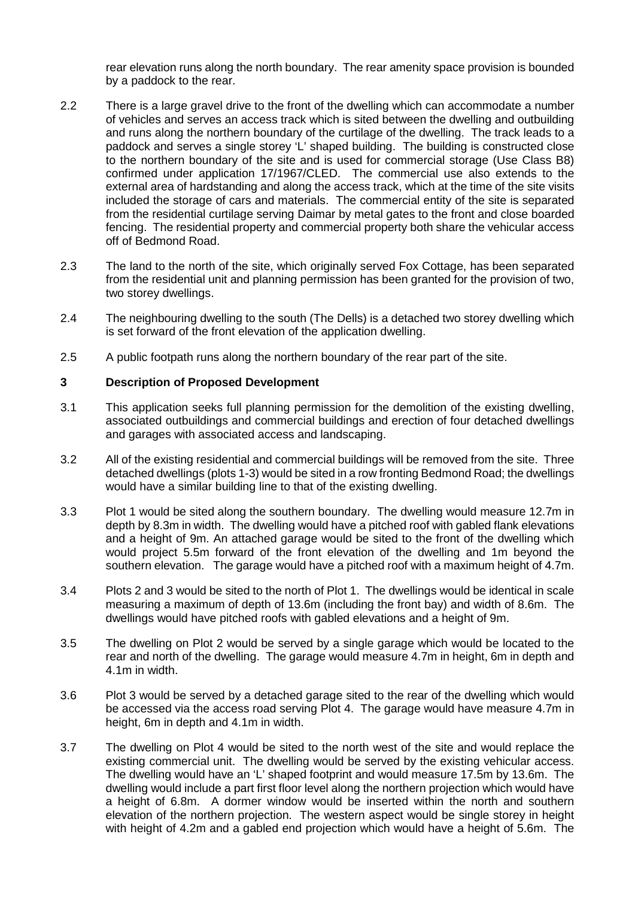rear elevation runs along the north boundary. The rear amenity space provision is bounded by a paddock to the rear.

- 2.2 There is a large gravel drive to the front of the dwelling which can accommodate a number of vehicles and serves an access track which is sited between the dwelling and outbuilding and runs along the northern boundary of the curtilage of the dwelling. The track leads to a paddock and serves a single storey 'L' shaped building. The building is constructed close to the northern boundary of the site and is used for commercial storage (Use Class B8) confirmed under application 17/1967/CLED. The commercial use also extends to the external area of hardstanding and along the access track, which at the time of the site visits included the storage of cars and materials. The commercial entity of the site is separated from the residential curtilage serving Daimar by metal gates to the front and close boarded fencing. The residential property and commercial property both share the vehicular access off of Bedmond Road.
- 2.3 The land to the north of the site, which originally served Fox Cottage, has been separated from the residential unit and planning permission has been granted for the provision of two, two storey dwellings.
- 2.4 The neighbouring dwelling to the south (The Dells) is a detached two storey dwelling which is set forward of the front elevation of the application dwelling.
- 2.5 A public footpath runs along the northern boundary of the rear part of the site.

# **3 Description of Proposed Development**

- 3.1 This application seeks full planning permission for the demolition of the existing dwelling, associated outbuildings and commercial buildings and erection of four detached dwellings and garages with associated access and landscaping.
- 3.2 All of the existing residential and commercial buildings will be removed from the site. Three detached dwellings (plots 1-3) would be sited in a row fronting Bedmond Road; the dwellings would have a similar building line to that of the existing dwelling.
- 3.3 Plot 1 would be sited along the southern boundary. The dwelling would measure 12.7m in depth by 8.3m in width. The dwelling would have a pitched roof with gabled flank elevations and a height of 9m. An attached garage would be sited to the front of the dwelling which would project 5.5m forward of the front elevation of the dwelling and 1m beyond the southern elevation. The garage would have a pitched roof with a maximum height of 4.7m.
- 3.4 Plots 2 and 3 would be sited to the north of Plot 1. The dwellings would be identical in scale measuring a maximum of depth of 13.6m (including the front bay) and width of 8.6m. The dwellings would have pitched roofs with gabled elevations and a height of 9m.
- 3.5 The dwelling on Plot 2 would be served by a single garage which would be located to the rear and north of the dwelling. The garage would measure 4.7m in height, 6m in depth and 4.1m in width.
- 3.6 Plot 3 would be served by a detached garage sited to the rear of the dwelling which would be accessed via the access road serving Plot 4. The garage would have measure 4.7m in height, 6m in depth and 4.1m in width.
- 3.7 The dwelling on Plot 4 would be sited to the north west of the site and would replace the existing commercial unit. The dwelling would be served by the existing vehicular access. The dwelling would have an 'L' shaped footprint and would measure 17.5m by 13.6m. The dwelling would include a part first floor level along the northern projection which would have a height of 6.8m. A dormer window would be inserted within the north and southern elevation of the northern projection. The western aspect would be single storey in height with height of 4.2m and a gabled end projection which would have a height of 5.6m. The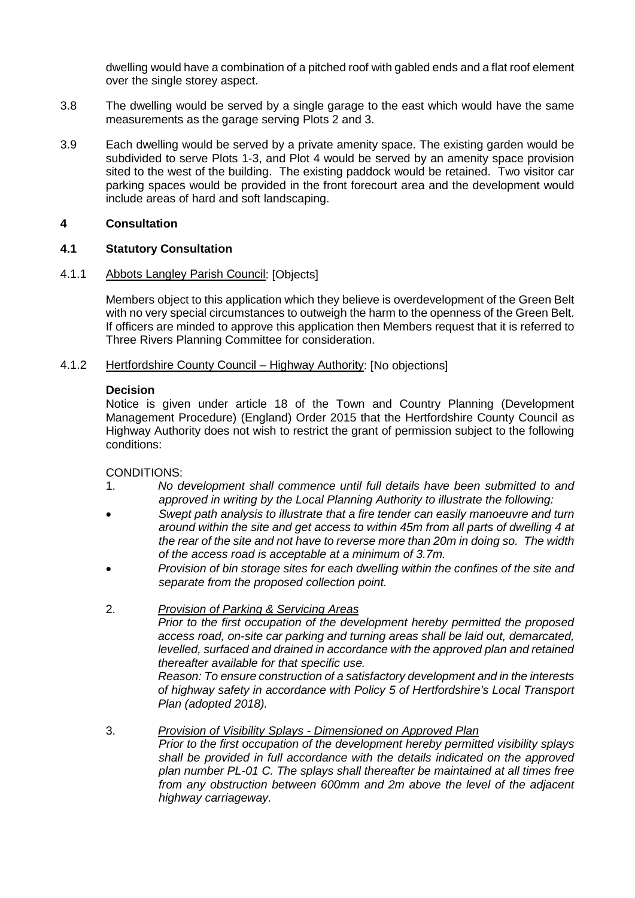dwelling would have a combination of a pitched roof with gabled ends and a flat roof element over the single storey aspect.

- 3.8 The dwelling would be served by a single garage to the east which would have the same measurements as the garage serving Plots 2 and 3.
- 3.9 Each dwelling would be served by a private amenity space. The existing garden would be subdivided to serve Plots 1-3, and Plot 4 would be served by an amenity space provision sited to the west of the building. The existing paddock would be retained. Two visitor car parking spaces would be provided in the front forecourt area and the development would include areas of hard and soft landscaping.

# **4 Consultation**

# **4.1 Statutory Consultation**

#### 4.1.1 Abbots Langley Parish Council: [Objects]

Members object to this application which they believe is overdevelopment of the Green Belt with no very special circumstances to outweigh the harm to the openness of the Green Belt. If officers are minded to approve this application then Members request that it is referred to Three Rivers Planning Committee for consideration.

#### 4.1.2 Hertfordshire County Council – Highway Authority: [No objections]

#### **Decision**

Notice is given under article 18 of the Town and Country Planning (Development Management Procedure) (England) Order 2015 that the Hertfordshire County Council as Highway Authority does not wish to restrict the grant of permission subject to the following conditions:

## CONDITIONS:

- 1. *No development shall commence until full details have been submitted to and approved in writing by the Local Planning Authority to illustrate the following:*
- *Swept path analysis to illustrate that a fire tender can easily manoeuvre and turn around within the site and get access to within 45m from all parts of dwelling 4 at the rear of the site and not have to reverse more than 20m in doing so. The width of the access road is acceptable at a minimum of 3.7m.*
- *Provision of bin storage sites for each dwelling within the confines of the site and separate from the proposed collection point.*

#### 2. *Provision of Parking & Servicing Areas*

*Prior to the first occupation of the development hereby permitted the proposed access road, on-site car parking and turning areas shall be laid out, demarcated, levelled, surfaced and drained in accordance with the approved plan and retained thereafter available for that specific use.*

*Reason: To ensure construction of a satisfactory development and in the interests of highway safety in accordance with Policy 5 of Hertfordshire's Local Transport Plan (adopted 2018).*

# 3. *Provision of Visibility Splays - Dimensioned on Approved Plan*

*Prior to the first occupation of the development hereby permitted visibility splays shall be provided in full accordance with the details indicated on the approved plan number PL-01 C. The splays shall thereafter be maintained at all times free from any obstruction between 600mm and 2m above the level of the adjacent highway carriageway.*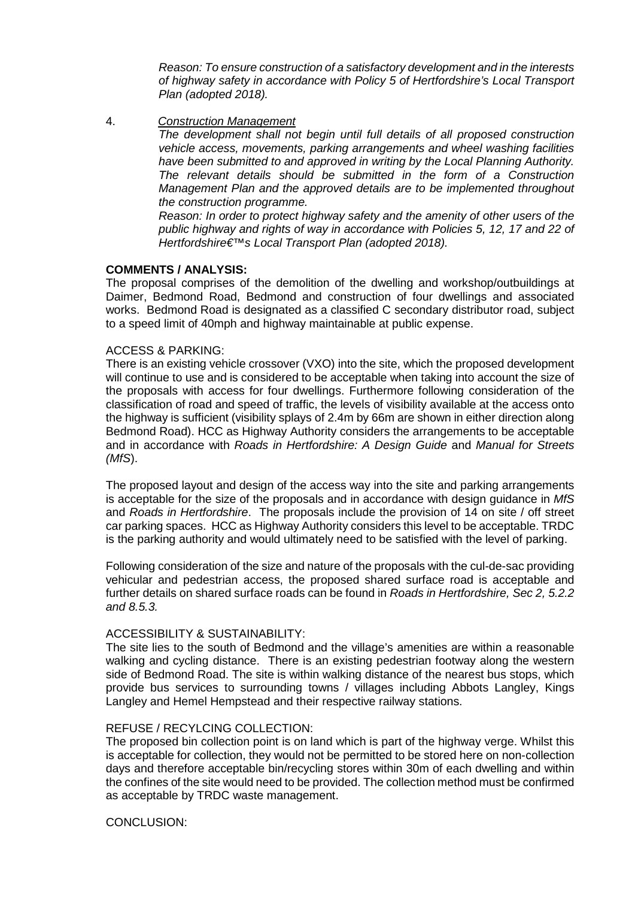*Reason: To ensure construction of a satisfactory development and in the interests of highway safety in accordance with Policy 5 of Hertfordshire's Local Transport Plan (adopted 2018).*

4. *Construction Management*

*The development shall not begin until full details of all proposed construction vehicle access, movements, parking arrangements and wheel washing facilities have been submitted to and approved in writing by the Local Planning Authority. The relevant details should be submitted in the form of a Construction Management Plan and the approved details are to be implemented throughout the construction programme.*

*Reason: In order to protect highway safety and the amenity of other users of the public highway and rights of way in accordance with Policies 5, 12, 17 and 22 of Hertfordshire€™s Local Transport Plan (adopted 2018).*

#### **COMMENTS / ANALYSIS:**

The proposal comprises of the demolition of the dwelling and workshop/outbuildings at Daimer, Bedmond Road, Bedmond and construction of four dwellings and associated works. Bedmond Road is designated as a classified C secondary distributor road, subject to a speed limit of 40mph and highway maintainable at public expense.

#### ACCESS & PARKING:

There is an existing vehicle crossover (VXO) into the site, which the proposed development will continue to use and is considered to be acceptable when taking into account the size of the proposals with access for four dwellings. Furthermore following consideration of the classification of road and speed of traffic, the levels of visibility available at the access onto the highway is sufficient (visibility splays of 2.4m by 66m are shown in either direction along Bedmond Road). HCC as Highway Authority considers the arrangements to be acceptable and in accordance with *Roads in Hertfordshire: A Design Guide* and *Manual for Streets (MfS*).

The proposed layout and design of the access way into the site and parking arrangements is acceptable for the size of the proposals and in accordance with design guidance in *MfS* and *Roads in Hertfordshire*. The proposals include the provision of 14 on site / off street car parking spaces. HCC as Highway Authority considers this level to be acceptable. TRDC is the parking authority and would ultimately need to be satisfied with the level of parking.

Following consideration of the size and nature of the proposals with the cul-de-sac providing vehicular and pedestrian access, the proposed shared surface road is acceptable and further details on shared surface roads can be found in *Roads in Hertfordshire, Sec 2, 5.2.2 and 8.5.3.*

#### ACCESSIBILITY & SUSTAINABILITY:

The site lies to the south of Bedmond and the village's amenities are within a reasonable walking and cycling distance. There is an existing pedestrian footway along the western side of Bedmond Road. The site is within walking distance of the nearest bus stops, which provide bus services to surrounding towns / villages including Abbots Langley, Kings Langley and Hemel Hempstead and their respective railway stations.

#### REFUSE / RECYLCING COLLECTION:

The proposed bin collection point is on land which is part of the highway verge. Whilst this is acceptable for collection, they would not be permitted to be stored here on non-collection days and therefore acceptable bin/recycling stores within 30m of each dwelling and within the confines of the site would need to be provided. The collection method must be confirmed as acceptable by TRDC waste management.

# CONCLUSION: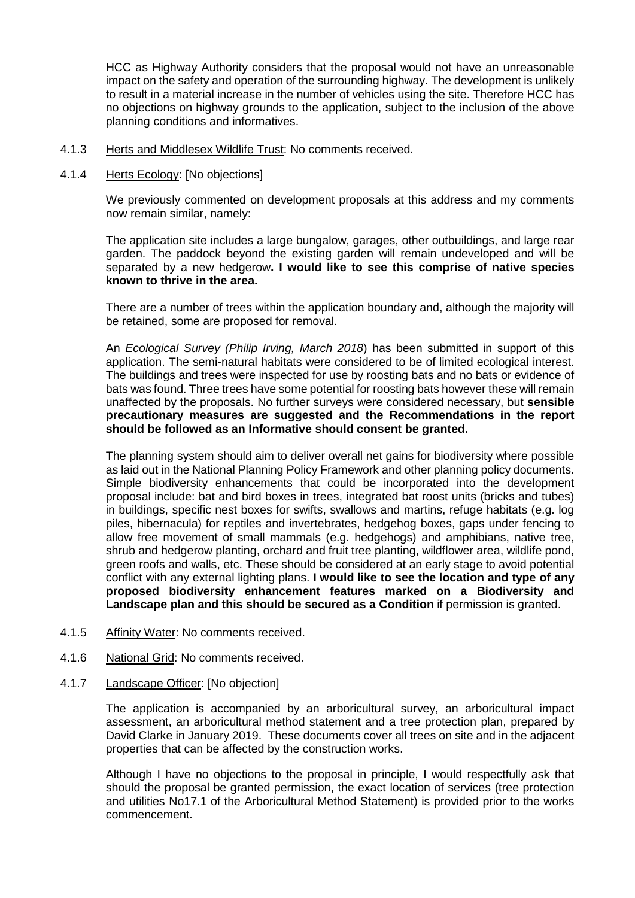HCC as Highway Authority considers that the proposal would not have an unreasonable impact on the safety and operation of the surrounding highway. The development is unlikely to result in a material increase in the number of vehicles using the site. Therefore HCC has no objections on highway grounds to the application, subject to the inclusion of the above planning conditions and informatives.

- 4.1.3 Herts and Middlesex Wildlife Trust: No comments received.
- 4.1.4 Herts Ecology: [No objections]

We previously commented on development proposals at this address and my comments now remain similar, namely:

The application site includes a large bungalow, garages, other outbuildings, and large rear garden. The paddock beyond the existing garden will remain undeveloped and will be separated by a new hedgerow**. I would like to see this comprise of native species known to thrive in the area.** 

There are a number of trees within the application boundary and, although the majority will be retained, some are proposed for removal.

An *Ecological Survey (Philip Irving, March 2018*) has been submitted in support of this application. The semi-natural habitats were considered to be of limited ecological interest. The buildings and trees were inspected for use by roosting bats and no bats or evidence of bats was found. Three trees have some potential for roosting bats however these will remain unaffected by the proposals. No further surveys were considered necessary, but **sensible precautionary measures are suggested and the Recommendations in the report should be followed as an Informative should consent be granted.**

The planning system should aim to deliver overall net gains for biodiversity where possible as laid out in the National Planning Policy Framework and other planning policy documents. Simple biodiversity enhancements that could be incorporated into the development proposal include: bat and bird boxes in trees, integrated bat roost units (bricks and tubes) in buildings, specific nest boxes for swifts, swallows and martins, refuge habitats (e.g. log piles, hibernacula) for reptiles and invertebrates, hedgehog boxes, gaps under fencing to allow free movement of small mammals (e.g. hedgehogs) and amphibians, native tree, shrub and hedgerow planting, orchard and fruit tree planting, wildflower area, wildlife pond, green roofs and walls, etc. These should be considered at an early stage to avoid potential conflict with any external lighting plans. **I would like to see the location and type of any proposed biodiversity enhancement features marked on a Biodiversity and Landscape plan and this should be secured as a Condition** if permission is granted.

- 4.1.5 Affinity Water: No comments received.
- 4.1.6 National Grid: No comments received.
- 4.1.7 Landscape Officer: [No objection]

The application is accompanied by an arboricultural survey, an arboricultural impact assessment, an arboricultural method statement and a tree protection plan, prepared by David Clarke in January 2019. These documents cover all trees on site and in the adjacent properties that can be affected by the construction works.

Although I have no objections to the proposal in principle, I would respectfully ask that should the proposal be granted permission, the exact location of services (tree protection and utilities No17.1 of the Arboricultural Method Statement) is provided prior to the works commencement.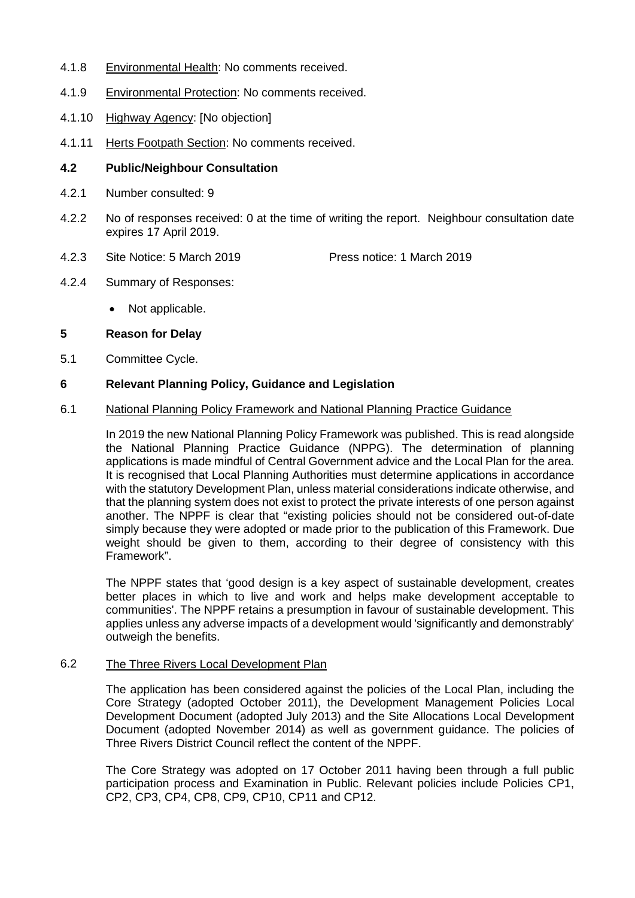- 4.1.8 Environmental Health: No comments received.
- 4.1.9 Environmental Protection: No comments received.
- 4.1.10 Highway Agency: [No objection]
- 4.1.11 Herts Footpath Section: No comments received.

#### **4.2 Public/Neighbour Consultation**

- 4.2.1 Number consulted: 9
- 4.2.2 No of responses received: 0 at the time of writing the report. Neighbour consultation date expires 17 April 2019.
- 4.2.3 Site Notice: 5 March 2019 Press notice: 1 March 2019
- 4.2.4 Summary of Responses:
	- Not applicable.
- **5 Reason for Delay**
- 5.1 Committee Cycle.

#### **6 Relevant Planning Policy, Guidance and Legislation**

#### 6.1 National Planning Policy Framework and National Planning Practice Guidance

In 2019 the new National Planning Policy Framework was published. This is read alongside the National Planning Practice Guidance (NPPG). The determination of planning applications is made mindful of Central Government advice and the Local Plan for the area. It is recognised that Local Planning Authorities must determine applications in accordance with the statutory Development Plan, unless material considerations indicate otherwise, and that the planning system does not exist to protect the private interests of one person against another. The NPPF is clear that "existing policies should not be considered out-of-date simply because they were adopted or made prior to the publication of this Framework. Due weight should be given to them, according to their degree of consistency with this Framework".

The NPPF states that 'good design is a key aspect of sustainable development, creates better places in which to live and work and helps make development acceptable to communities'. The NPPF retains a presumption in favour of sustainable development. This applies unless any adverse impacts of a development would 'significantly and demonstrably' outweigh the benefits.

#### 6.2 The Three Rivers Local Development Plan

The application has been considered against the policies of the Local Plan, including the Core Strategy (adopted October 2011), the Development Management Policies Local Development Document (adopted July 2013) and the Site Allocations Local Development Document (adopted November 2014) as well as government guidance. The policies of Three Rivers District Council reflect the content of the NPPF.

The Core Strategy was adopted on 17 October 2011 having been through a full public participation process and Examination in Public. Relevant policies include Policies CP1, CP2, CP3, CP4, CP8, CP9, CP10, CP11 and CP12.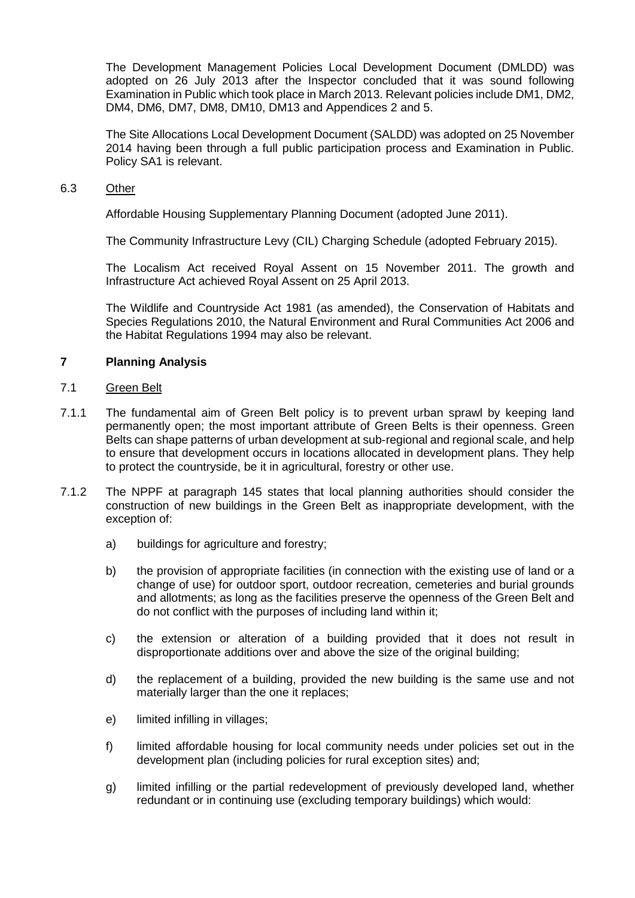The Development Management Policies Local Development Document (DMLDD) was adopted on 26 July 2013 after the Inspector concluded that it was sound following Examination in Public which took place in March 2013. Relevant policies include DM1, DM2, DM4, DM6, DM7, DM8, DM10, DM13 and Appendices 2 and 5.

The Site Allocations Local Development Document (SALDD) was adopted on 25 November 2014 having been through a full public participation process and Examination in Public. Policy SA1 is relevant.

#### 6.3 Other

Affordable Housing Supplementary Planning Document (adopted June 2011).

The Community Infrastructure Levy (CIL) Charging Schedule (adopted February 2015).

The Localism Act received Royal Assent on 15 November 2011. The growth and Infrastructure Act achieved Royal Assent on 25 April 2013.

The Wildlife and Countryside Act 1981 (as amended), the Conservation of Habitats and Species Regulations 2010, the Natural Environment and Rural Communities Act 2006 and the Habitat Regulations 1994 may also be relevant.

# **7 Planning Analysis**

#### 7.1 Green Belt

- 7.1.1 The fundamental aim of Green Belt policy is to prevent urban sprawl by keeping land permanently open; the most important attribute of Green Belts is their openness. Green Belts can shape patterns of urban development at sub-regional and regional scale, and help to ensure that development occurs in locations allocated in development plans. They help to protect the countryside, be it in agricultural, forestry or other use.
- 7.1.2 The NPPF at paragraph 145 states that local planning authorities should consider the construction of new buildings in the Green Belt as inappropriate development, with the exception of:
	- a) buildings for agriculture and forestry;
	- b) the provision of appropriate facilities (in connection with the existing use of land or a change of use) for outdoor sport, outdoor recreation, cemeteries and burial grounds and allotments; as long as the facilities preserve the openness of the Green Belt and do not conflict with the purposes of including land within it;
	- c) the extension or alteration of a building provided that it does not result in disproportionate additions over and above the size of the original building;
	- d) the replacement of a building, provided the new building is the same use and not materially larger than the one it replaces;
	- e) limited infilling in villages;
	- f) limited affordable housing for local community needs under policies set out in the development plan (including policies for rural exception sites) and;
	- g) limited infilling or the partial redevelopment of previously developed land, whether redundant or in continuing use (excluding temporary buildings) which would: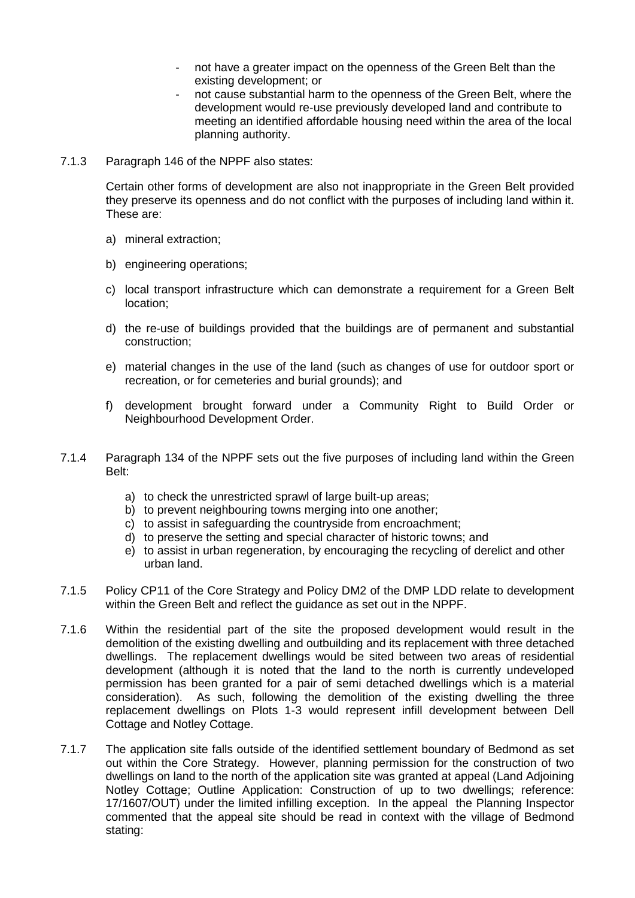- not have a greater impact on the openness of the Green Belt than the existing development; or
- not cause substantial harm to the openness of the Green Belt, where the development would re-use previously developed land and contribute to meeting an identified affordable housing need within the area of the local planning authority.
- 7.1.3 Paragraph 146 of the NPPF also states:

Certain other forms of development are also not inappropriate in the Green Belt provided they preserve its openness and do not conflict with the purposes of including land within it. These are:

- a) mineral extraction;
- b) engineering operations;
- c) local transport infrastructure which can demonstrate a requirement for a Green Belt location;
- d) the re-use of buildings provided that the buildings are of permanent and substantial construction;
- e) material changes in the use of the land (such as changes of use for outdoor sport or recreation, or for cemeteries and burial grounds); and
- f) development brought forward under a Community Right to Build Order or Neighbourhood Development Order.
- 7.1.4 Paragraph 134 of the NPPF sets out the five purposes of including land within the Green Belt:
	- a) to check the unrestricted sprawl of large built-up areas;
	- b) to prevent neighbouring towns merging into one another;
	- c) to assist in safeguarding the countryside from encroachment;
	- d) to preserve the setting and special character of historic towns; and
	- e) to assist in urban regeneration, by encouraging the recycling of derelict and other urban land.
- 7.1.5 Policy CP11 of the Core Strategy and Policy DM2 of the DMP LDD relate to development within the Green Belt and reflect the guidance as set out in the NPPF.
- 7.1.6 Within the residential part of the site the proposed development would result in the demolition of the existing dwelling and outbuilding and its replacement with three detached dwellings. The replacement dwellings would be sited between two areas of residential development (although it is noted that the land to the north is currently undeveloped permission has been granted for a pair of semi detached dwellings which is a material consideration). As such, following the demolition of the existing dwelling the three replacement dwellings on Plots 1-3 would represent infill development between Dell Cottage and Notley Cottage.
- 7.1.7 The application site falls outside of the identified settlement boundary of Bedmond as set out within the Core Strategy. However, planning permission for the construction of two dwellings on land to the north of the application site was granted at appeal (Land Adjoining Notley Cottage; Outline Application: Construction of up to two dwellings; reference: 17/1607/OUT) under the limited infilling exception. In the appeal the Planning Inspector commented that the appeal site should be read in context with the village of Bedmond stating: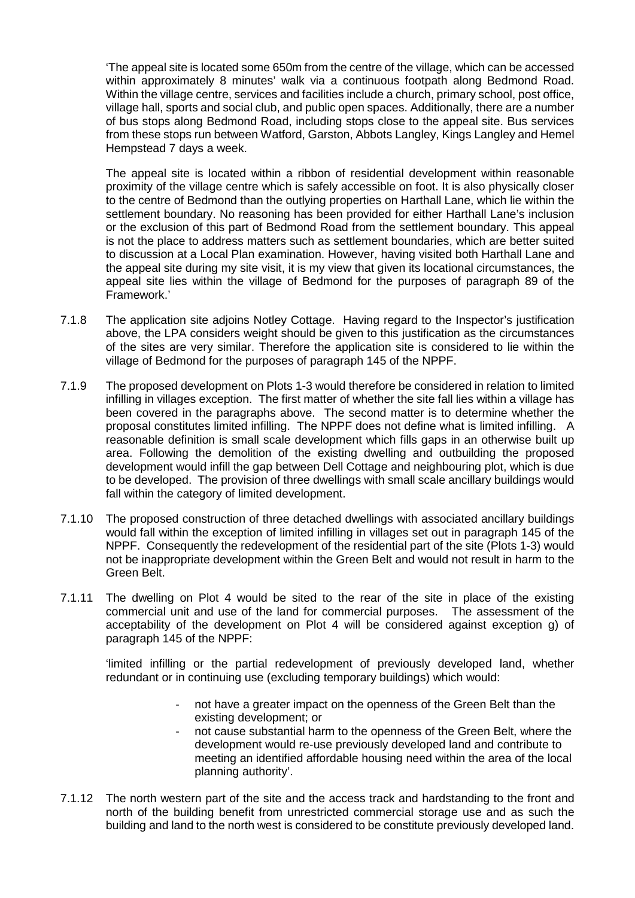'The appeal site is located some 650m from the centre of the village, which can be accessed within approximately 8 minutes' walk via a continuous footpath along Bedmond Road. Within the village centre, services and facilities include a church, primary school, post office, village hall, sports and social club, and public open spaces. Additionally, there are a number of bus stops along Bedmond Road, including stops close to the appeal site. Bus services from these stops run between Watford, Garston, Abbots Langley, Kings Langley and Hemel Hempstead 7 days a week.

The appeal site is located within a ribbon of residential development within reasonable proximity of the village centre which is safely accessible on foot. It is also physically closer to the centre of Bedmond than the outlying properties on Harthall Lane, which lie within the settlement boundary. No reasoning has been provided for either Harthall Lane's inclusion or the exclusion of this part of Bedmond Road from the settlement boundary. This appeal is not the place to address matters such as settlement boundaries, which are better suited to discussion at a Local Plan examination. However, having visited both Harthall Lane and the appeal site during my site visit, it is my view that given its locational circumstances, the appeal site lies within the village of Bedmond for the purposes of paragraph 89 of the Framework.'

- 7.1.8 The application site adjoins Notley Cottage. Having regard to the Inspector's justification above, the LPA considers weight should be given to this justification as the circumstances of the sites are very similar. Therefore the application site is considered to lie within the village of Bedmond for the purposes of paragraph 145 of the NPPF.
- 7.1.9 The proposed development on Plots 1-3 would therefore be considered in relation to limited infilling in villages exception. The first matter of whether the site fall lies within a village has been covered in the paragraphs above. The second matter is to determine whether the proposal constitutes limited infilling. The NPPF does not define what is limited infilling. A reasonable definition is small scale development which fills gaps in an otherwise built up area. Following the demolition of the existing dwelling and outbuilding the proposed development would infill the gap between Dell Cottage and neighbouring plot, which is due to be developed. The provision of three dwellings with small scale ancillary buildings would fall within the category of limited development.
- 7.1.10 The proposed construction of three detached dwellings with associated ancillary buildings would fall within the exception of limited infilling in villages set out in paragraph 145 of the NPPF. Consequently the redevelopment of the residential part of the site (Plots 1-3) would not be inappropriate development within the Green Belt and would not result in harm to the Green Belt.
- 7.1.11 The dwelling on Plot 4 would be sited to the rear of the site in place of the existing commercial unit and use of the land for commercial purposes. The assessment of the acceptability of the development on Plot 4 will be considered against exception g) of paragraph 145 of the NPPF:

'limited infilling or the partial redevelopment of previously developed land, whether redundant or in continuing use (excluding temporary buildings) which would:

- not have a greater impact on the openness of the Green Belt than the existing development; or
- not cause substantial harm to the openness of the Green Belt, where the development would re-use previously developed land and contribute to meeting an identified affordable housing need within the area of the local planning authority'.
- 7.1.12 The north western part of the site and the access track and hardstanding to the front and north of the building benefit from unrestricted commercial storage use and as such the building and land to the north west is considered to be constitute previously developed land.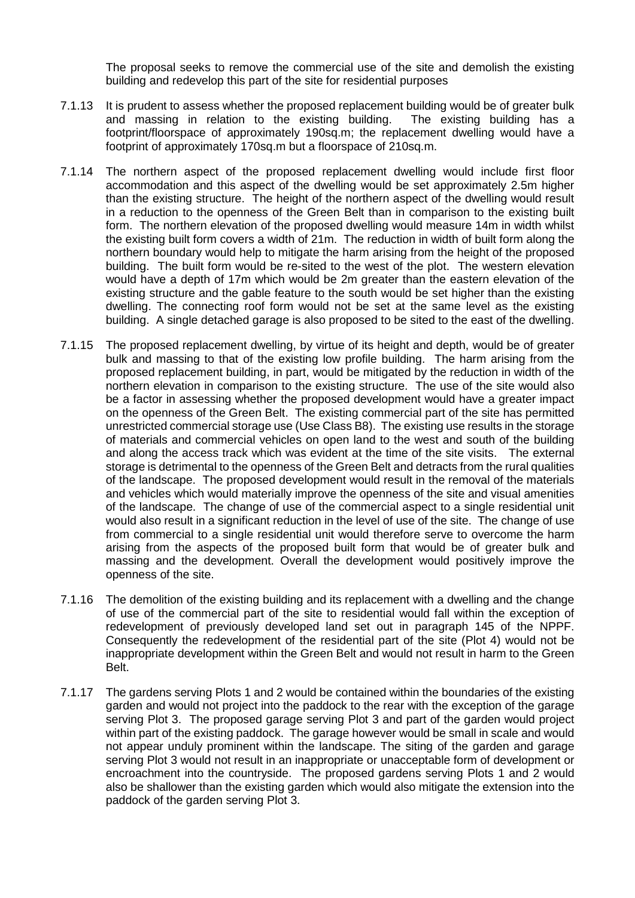The proposal seeks to remove the commercial use of the site and demolish the existing building and redevelop this part of the site for residential purposes

- 7.1.13 It is prudent to assess whether the proposed replacement building would be of greater bulk and massing in relation to the existing building. The existing building has a footprint/floorspace of approximately 190sq.m; the replacement dwelling would have a footprint of approximately 170sq.m but a floorspace of 210sq.m.
- 7.1.14 The northern aspect of the proposed replacement dwelling would include first floor accommodation and this aspect of the dwelling would be set approximately 2.5m higher than the existing structure. The height of the northern aspect of the dwelling would result in a reduction to the openness of the Green Belt than in comparison to the existing built form. The northern elevation of the proposed dwelling would measure 14m in width whilst the existing built form covers a width of 21m. The reduction in width of built form along the northern boundary would help to mitigate the harm arising from the height of the proposed building. The built form would be re-sited to the west of the plot. The western elevation would have a depth of 17m which would be 2m greater than the eastern elevation of the existing structure and the gable feature to the south would be set higher than the existing dwelling. The connecting roof form would not be set at the same level as the existing building. A single detached garage is also proposed to be sited to the east of the dwelling.
- 7.1.15 The proposed replacement dwelling, by virtue of its height and depth, would be of greater bulk and massing to that of the existing low profile building. The harm arising from the proposed replacement building, in part, would be mitigated by the reduction in width of the northern elevation in comparison to the existing structure. The use of the site would also be a factor in assessing whether the proposed development would have a greater impact on the openness of the Green Belt. The existing commercial part of the site has permitted unrestricted commercial storage use (Use Class B8). The existing use results in the storage of materials and commercial vehicles on open land to the west and south of the building and along the access track which was evident at the time of the site visits. The external storage is detrimental to the openness of the Green Belt and detracts from the rural qualities of the landscape. The proposed development would result in the removal of the materials and vehicles which would materially improve the openness of the site and visual amenities of the landscape. The change of use of the commercial aspect to a single residential unit would also result in a significant reduction in the level of use of the site. The change of use from commercial to a single residential unit would therefore serve to overcome the harm arising from the aspects of the proposed built form that would be of greater bulk and massing and the development. Overall the development would positively improve the openness of the site.
- 7.1.16 The demolition of the existing building and its replacement with a dwelling and the change of use of the commercial part of the site to residential would fall within the exception of redevelopment of previously developed land set out in paragraph 145 of the NPPF. Consequently the redevelopment of the residential part of the site (Plot 4) would not be inappropriate development within the Green Belt and would not result in harm to the Green Belt.
- 7.1.17 The gardens serving Plots 1 and 2 would be contained within the boundaries of the existing garden and would not project into the paddock to the rear with the exception of the garage serving Plot 3. The proposed garage serving Plot 3 and part of the garden would project within part of the existing paddock. The garage however would be small in scale and would not appear unduly prominent within the landscape. The siting of the garden and garage serving Plot 3 would not result in an inappropriate or unacceptable form of development or encroachment into the countryside. The proposed gardens serving Plots 1 and 2 would also be shallower than the existing garden which would also mitigate the extension into the paddock of the garden serving Plot 3.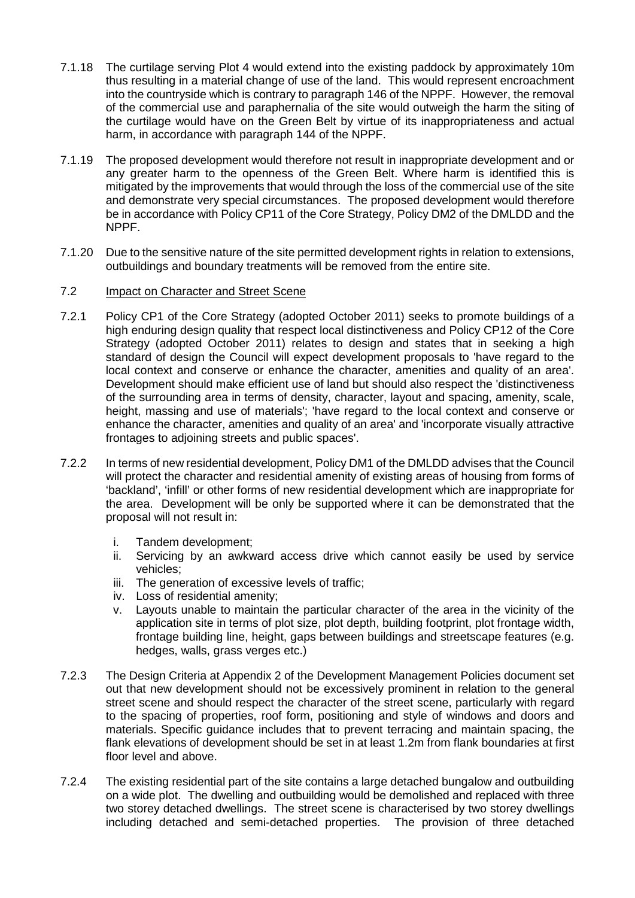- 7.1.18 The curtilage serving Plot 4 would extend into the existing paddock by approximately 10m thus resulting in a material change of use of the land. This would represent encroachment into the countryside which is contrary to paragraph 146 of the NPPF. However, the removal of the commercial use and paraphernalia of the site would outweigh the harm the siting of the curtilage would have on the Green Belt by virtue of its inappropriateness and actual harm, in accordance with paragraph 144 of the NPPF.
- 7.1.19 The proposed development would therefore not result in inappropriate development and or any greater harm to the openness of the Green Belt. Where harm is identified this is mitigated by the improvements that would through the loss of the commercial use of the site and demonstrate very special circumstances. The proposed development would therefore be in accordance with Policy CP11 of the Core Strategy, Policy DM2 of the DMLDD and the NPPF.
- 7.1.20 Due to the sensitive nature of the site permitted development rights in relation to extensions, outbuildings and boundary treatments will be removed from the entire site.

#### 7.2 Impact on Character and Street Scene

- 7.2.1 Policy CP1 of the Core Strategy (adopted October 2011) seeks to promote buildings of a high enduring design quality that respect local distinctiveness and Policy CP12 of the Core Strategy (adopted October 2011) relates to design and states that in seeking a high standard of design the Council will expect development proposals to 'have regard to the local context and conserve or enhance the character, amenities and quality of an area'. Development should make efficient use of land but should also respect the 'distinctiveness of the surrounding area in terms of density, character, layout and spacing, amenity, scale, height, massing and use of materials'; 'have regard to the local context and conserve or enhance the character, amenities and quality of an area' and 'incorporate visually attractive frontages to adjoining streets and public spaces'.
- 7.2.2 In terms of new residential development, Policy DM1 of the DMLDD advises that the Council will protect the character and residential amenity of existing areas of housing from forms of 'backland', 'infill' or other forms of new residential development which are inappropriate for the area. Development will be only be supported where it can be demonstrated that the proposal will not result in:
	- i. Tandem development;<br>ii. Servicing by an awkw
	- Servicing by an awkward access drive which cannot easily be used by service vehicles;
	- iii. The generation of excessive levels of traffic;
	- iv. Loss of residential amenity;
	- v. Layouts unable to maintain the particular character of the area in the vicinity of the application site in terms of plot size, plot depth, building footprint, plot frontage width, frontage building line, height, gaps between buildings and streetscape features (e.g. hedges, walls, grass verges etc.)
- 7.2.3 The Design Criteria at Appendix 2 of the Development Management Policies document set out that new development should not be excessively prominent in relation to the general street scene and should respect the character of the street scene, particularly with regard to the spacing of properties, roof form, positioning and style of windows and doors and materials. Specific guidance includes that to prevent terracing and maintain spacing, the flank elevations of development should be set in at least 1.2m from flank boundaries at first floor level and above.
- 7.2.4 The existing residential part of the site contains a large detached bungalow and outbuilding on a wide plot. The dwelling and outbuilding would be demolished and replaced with three two storey detached dwellings. The street scene is characterised by two storey dwellings including detached and semi-detached properties. The provision of three detached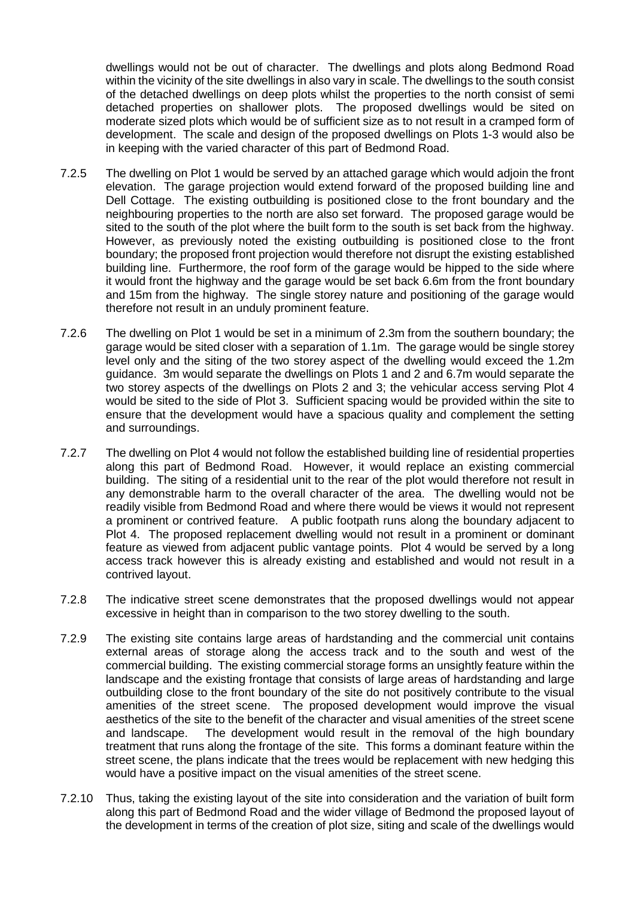dwellings would not be out of character. The dwellings and plots along Bedmond Road within the vicinity of the site dwellings in also vary in scale. The dwellings to the south consist of the detached dwellings on deep plots whilst the properties to the north consist of semi detached properties on shallower plots. The proposed dwellings would be sited on moderate sized plots which would be of sufficient size as to not result in a cramped form of development. The scale and design of the proposed dwellings on Plots 1-3 would also be in keeping with the varied character of this part of Bedmond Road.

- 7.2.5 The dwelling on Plot 1 would be served by an attached garage which would adjoin the front elevation. The garage projection would extend forward of the proposed building line and Dell Cottage. The existing outbuilding is positioned close to the front boundary and the neighbouring properties to the north are also set forward. The proposed garage would be sited to the south of the plot where the built form to the south is set back from the highway. However, as previously noted the existing outbuilding is positioned close to the front boundary; the proposed front projection would therefore not disrupt the existing established building line. Furthermore, the roof form of the garage would be hipped to the side where it would front the highway and the garage would be set back 6.6m from the front boundary and 15m from the highway. The single storey nature and positioning of the garage would therefore not result in an unduly prominent feature.
- 7.2.6 The dwelling on Plot 1 would be set in a minimum of 2.3m from the southern boundary; the garage would be sited closer with a separation of 1.1m. The garage would be single storey level only and the siting of the two storey aspect of the dwelling would exceed the 1.2m guidance. 3m would separate the dwellings on Plots 1 and 2 and 6.7m would separate the two storey aspects of the dwellings on Plots 2 and 3; the vehicular access serving Plot 4 would be sited to the side of Plot 3. Sufficient spacing would be provided within the site to ensure that the development would have a spacious quality and complement the setting and surroundings.
- 7.2.7 The dwelling on Plot 4 would not follow the established building line of residential properties along this part of Bedmond Road. However, it would replace an existing commercial building. The siting of a residential unit to the rear of the plot would therefore not result in any demonstrable harm to the overall character of the area. The dwelling would not be readily visible from Bedmond Road and where there would be views it would not represent a prominent or contrived feature. A public footpath runs along the boundary adjacent to Plot 4. The proposed replacement dwelling would not result in a prominent or dominant feature as viewed from adjacent public vantage points. Plot 4 would be served by a long access track however this is already existing and established and would not result in a contrived layout.
- 7.2.8 The indicative street scene demonstrates that the proposed dwellings would not appear excessive in height than in comparison to the two storey dwelling to the south.
- 7.2.9 The existing site contains large areas of hardstanding and the commercial unit contains external areas of storage along the access track and to the south and west of the commercial building. The existing commercial storage forms an unsightly feature within the landscape and the existing frontage that consists of large areas of hardstanding and large outbuilding close to the front boundary of the site do not positively contribute to the visual amenities of the street scene. The proposed development would improve the visual aesthetics of the site to the benefit of the character and visual amenities of the street scene and landscape. The development would result in the removal of the high boundary treatment that runs along the frontage of the site. This forms a dominant feature within the street scene, the plans indicate that the trees would be replacement with new hedging this would have a positive impact on the visual amenities of the street scene.
- 7.2.10 Thus, taking the existing layout of the site into consideration and the variation of built form along this part of Bedmond Road and the wider village of Bedmond the proposed layout of the development in terms of the creation of plot size, siting and scale of the dwellings would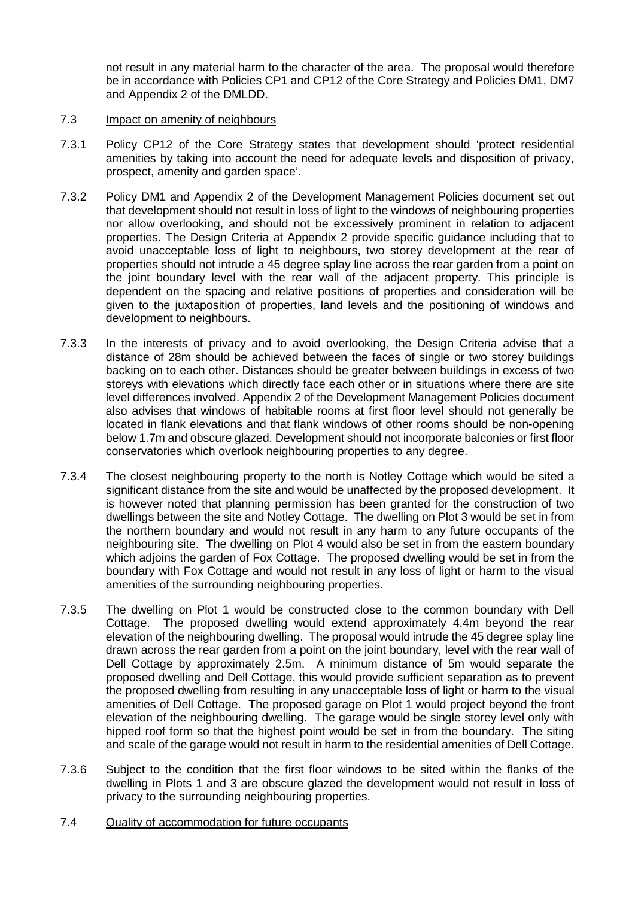not result in any material harm to the character of the area. The proposal would therefore be in accordance with Policies CP1 and CP12 of the Core Strategy and Policies DM1, DM7 and Appendix 2 of the DMLDD.

#### 7.3 Impact on amenity of neighbours

- 7.3.1 Policy CP12 of the Core Strategy states that development should 'protect residential amenities by taking into account the need for adequate levels and disposition of privacy, prospect, amenity and garden space'.
- 7.3.2 Policy DM1 and Appendix 2 of the Development Management Policies document set out that development should not result in loss of light to the windows of neighbouring properties nor allow overlooking, and should not be excessively prominent in relation to adjacent properties. The Design Criteria at Appendix 2 provide specific guidance including that to avoid unacceptable loss of light to neighbours, two storey development at the rear of properties should not intrude a 45 degree splay line across the rear garden from a point on the joint boundary level with the rear wall of the adjacent property. This principle is dependent on the spacing and relative positions of properties and consideration will be given to the juxtaposition of properties, land levels and the positioning of windows and development to neighbours.
- 7.3.3 In the interests of privacy and to avoid overlooking, the Design Criteria advise that a distance of 28m should be achieved between the faces of single or two storey buildings backing on to each other. Distances should be greater between buildings in excess of two storeys with elevations which directly face each other or in situations where there are site level differences involved. Appendix 2 of the Development Management Policies document also advises that windows of habitable rooms at first floor level should not generally be located in flank elevations and that flank windows of other rooms should be non-opening below 1.7m and obscure glazed. Development should not incorporate balconies or first floor conservatories which overlook neighbouring properties to any degree.
- 7.3.4 The closest neighbouring property to the north is Notley Cottage which would be sited a significant distance from the site and would be unaffected by the proposed development. It is however noted that planning permission has been granted for the construction of two dwellings between the site and Notley Cottage. The dwelling on Plot 3 would be set in from the northern boundary and would not result in any harm to any future occupants of the neighbouring site. The dwelling on Plot 4 would also be set in from the eastern boundary which adjoins the garden of Fox Cottage. The proposed dwelling would be set in from the boundary with Fox Cottage and would not result in any loss of light or harm to the visual amenities of the surrounding neighbouring properties.
- 7.3.5 The dwelling on Plot 1 would be constructed close to the common boundary with Dell Cottage. The proposed dwelling would extend approximately 4.4m beyond the rear elevation of the neighbouring dwelling. The proposal would intrude the 45 degree splay line drawn across the rear garden from a point on the joint boundary, level with the rear wall of Dell Cottage by approximately 2.5m. A minimum distance of 5m would separate the proposed dwelling and Dell Cottage, this would provide sufficient separation as to prevent the proposed dwelling from resulting in any unacceptable loss of light or harm to the visual amenities of Dell Cottage. The proposed garage on Plot 1 would project beyond the front elevation of the neighbouring dwelling. The garage would be single storey level only with hipped roof form so that the highest point would be set in from the boundary. The siting and scale of the garage would not result in harm to the residential amenities of Dell Cottage.
- 7.3.6 Subject to the condition that the first floor windows to be sited within the flanks of the dwelling in Plots 1 and 3 are obscure glazed the development would not result in loss of privacy to the surrounding neighbouring properties.
- 7.4 Quality of accommodation for future occupants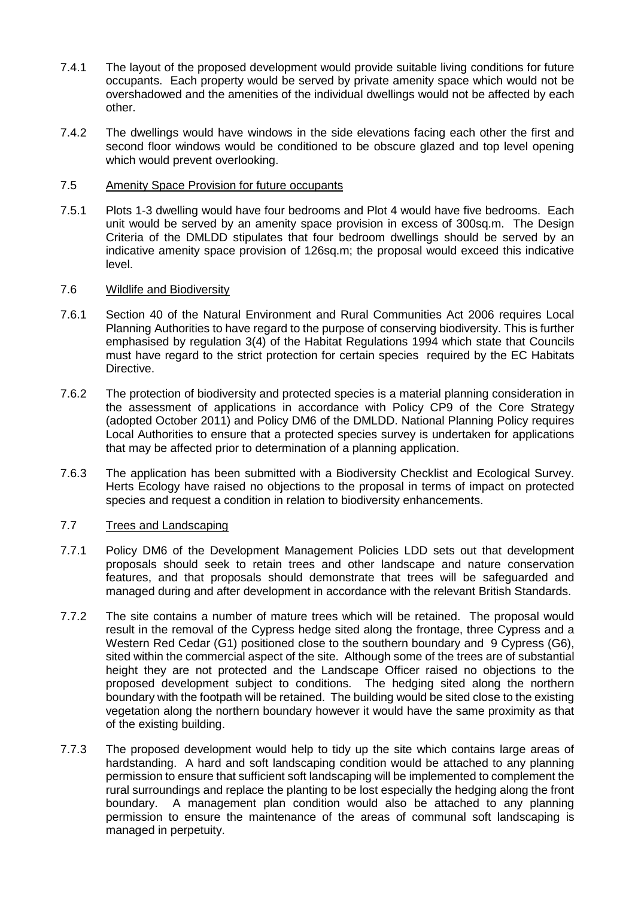- 7.4.1 The layout of the proposed development would provide suitable living conditions for future occupants. Each property would be served by private amenity space which would not be overshadowed and the amenities of the individual dwellings would not be affected by each other.
- 7.4.2 The dwellings would have windows in the side elevations facing each other the first and second floor windows would be conditioned to be obscure glazed and top level opening which would prevent overlooking.

#### 7.5 Amenity Space Provision for future occupants

7.5.1 Plots 1-3 dwelling would have four bedrooms and Plot 4 would have five bedrooms. Each unit would be served by an amenity space provision in excess of 300sq.m. The Design Criteria of the DMLDD stipulates that four bedroom dwellings should be served by an indicative amenity space provision of 126sq.m; the proposal would exceed this indicative level.

# 7.6 Wildlife and Biodiversity

- 7.6.1 Section 40 of the Natural Environment and Rural Communities Act 2006 requires Local Planning Authorities to have regard to the purpose of conserving biodiversity. This is further emphasised by regulation 3(4) of the Habitat Regulations 1994 which state that Councils must have regard to the strict protection for certain species required by the EC Habitats Directive.
- 7.6.2 The protection of biodiversity and protected species is a material planning consideration in the assessment of applications in accordance with Policy CP9 of the Core Strategy (adopted October 2011) and Policy DM6 of the DMLDD. National Planning Policy requires Local Authorities to ensure that a protected species survey is undertaken for applications that may be affected prior to determination of a planning application.
- 7.6.3 The application has been submitted with a Biodiversity Checklist and Ecological Survey. Herts Ecology have raised no objections to the proposal in terms of impact on protected species and request a condition in relation to biodiversity enhancements.

# 7.7 Trees and Landscaping

- 7.7.1 Policy DM6 of the Development Management Policies LDD sets out that development proposals should seek to retain trees and other landscape and nature conservation features, and that proposals should demonstrate that trees will be safeguarded and managed during and after development in accordance with the relevant British Standards.
- 7.7.2 The site contains a number of mature trees which will be retained. The proposal would result in the removal of the Cypress hedge sited along the frontage, three Cypress and a Western Red Cedar (G1) positioned close to the southern boundary and 9 Cypress (G6), sited within the commercial aspect of the site. Although some of the trees are of substantial height they are not protected and the Landscape Officer raised no objections to the proposed development subject to conditions. The hedging sited along the northern boundary with the footpath will be retained. The building would be sited close to the existing vegetation along the northern boundary however it would have the same proximity as that of the existing building.
- 7.7.3 The proposed development would help to tidy up the site which contains large areas of hardstanding. A hard and soft landscaping condition would be attached to any planning permission to ensure that sufficient soft landscaping will be implemented to complement the rural surroundings and replace the planting to be lost especially the hedging along the front boundary. A management plan condition would also be attached to any planning permission to ensure the maintenance of the areas of communal soft landscaping is managed in perpetuity.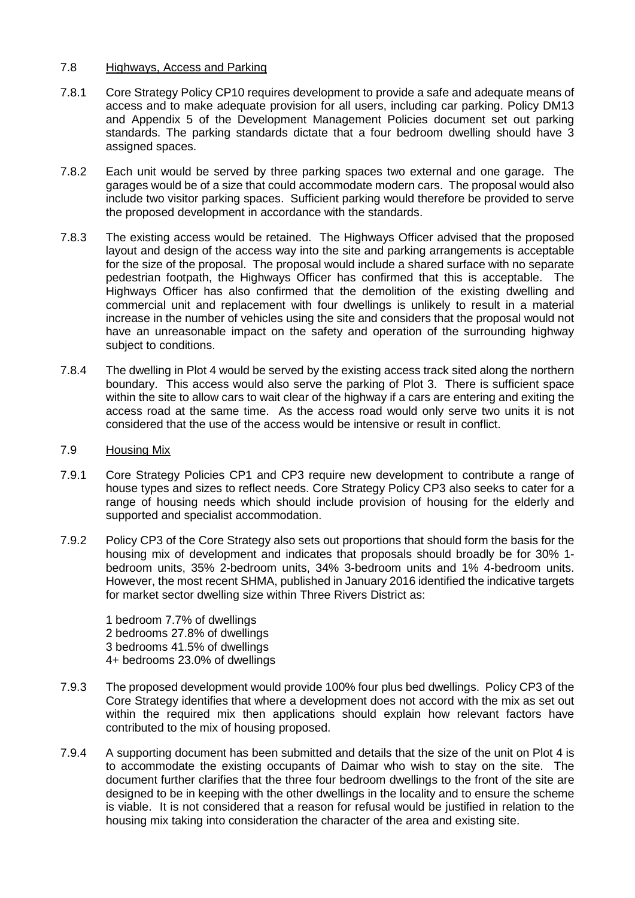#### 7.8 Highways, Access and Parking

- 7.8.1 Core Strategy Policy CP10 requires development to provide a safe and adequate means of access and to make adequate provision for all users, including car parking. Policy DM13 and Appendix 5 of the Development Management Policies document set out parking standards. The parking standards dictate that a four bedroom dwelling should have 3 assigned spaces.
- 7.8.2 Each unit would be served by three parking spaces two external and one garage. The garages would be of a size that could accommodate modern cars. The proposal would also include two visitor parking spaces. Sufficient parking would therefore be provided to serve the proposed development in accordance with the standards.
- 7.8.3 The existing access would be retained. The Highways Officer advised that the proposed layout and design of the access way into the site and parking arrangements is acceptable for the size of the proposal. The proposal would include a shared surface with no separate pedestrian footpath, the Highways Officer has confirmed that this is acceptable. The Highways Officer has also confirmed that the demolition of the existing dwelling and commercial unit and replacement with four dwellings is unlikely to result in a material increase in the number of vehicles using the site and considers that the proposal would not have an unreasonable impact on the safety and operation of the surrounding highway subject to conditions.
- 7.8.4 The dwelling in Plot 4 would be served by the existing access track sited along the northern boundary. This access would also serve the parking of Plot 3. There is sufficient space within the site to allow cars to wait clear of the highway if a cars are entering and exiting the access road at the same time. As the access road would only serve two units it is not considered that the use of the access would be intensive or result in conflict.

## 7.9 Housing Mix

- 7.9.1 Core Strategy Policies CP1 and CP3 require new development to contribute a range of house types and sizes to reflect needs. Core Strategy Policy CP3 also seeks to cater for a range of housing needs which should include provision of housing for the elderly and supported and specialist accommodation.
- 7.9.2 Policy CP3 of the Core Strategy also sets out proportions that should form the basis for the housing mix of development and indicates that proposals should broadly be for 30% 1 bedroom units, 35% 2-bedroom units, 34% 3-bedroom units and 1% 4-bedroom units. However, the most recent SHMA, published in January 2016 identified the indicative targets for market sector dwelling size within Three Rivers District as:

1 bedroom 7.7% of dwellings 2 bedrooms 27.8% of dwellings 3 bedrooms 41.5% of dwellings 4+ bedrooms 23.0% of dwellings

- 7.9.3 The proposed development would provide 100% four plus bed dwellings. Policy CP3 of the Core Strategy identifies that where a development does not accord with the mix as set out within the required mix then applications should explain how relevant factors have contributed to the mix of housing proposed.
- 7.9.4 A supporting document has been submitted and details that the size of the unit on Plot 4 is to accommodate the existing occupants of Daimar who wish to stay on the site. The document further clarifies that the three four bedroom dwellings to the front of the site are designed to be in keeping with the other dwellings in the locality and to ensure the scheme is viable. It is not considered that a reason for refusal would be justified in relation to the housing mix taking into consideration the character of the area and existing site.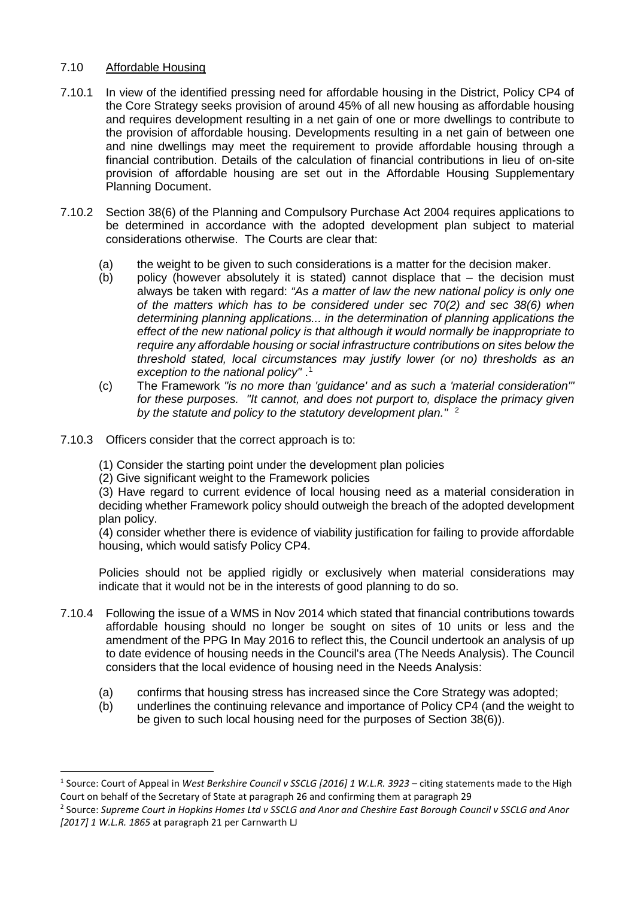# 7.10 Affordable Housing

- 7.10.1 In view of the identified pressing need for affordable housing in the District, Policy CP4 of the Core Strategy seeks provision of around 45% of all new housing as affordable housing and requires development resulting in a net gain of one or more dwellings to contribute to the provision of affordable housing. Developments resulting in a net gain of between one and nine dwellings may meet the requirement to provide affordable housing through a financial contribution. Details of the calculation of financial contributions in lieu of on-site provision of affordable housing are set out in the Affordable Housing Supplementary Planning Document.
- 7.10.2 Section 38(6) of the Planning and Compulsory Purchase Act 2004 requires applications to be determined in accordance with the adopted development plan subject to material considerations otherwise. The Courts are clear that:
	- (a) the weight to be given to such considerations is a matter for the decision maker.
	- (b) policy (however absolutely it is stated) cannot displace that the decision must always be taken with regard: *"As a matter of law the new national policy is only one of the matters which has to be considered under sec 70(2) and sec 38(6) when determining planning applications... in the determination of planning applications the effect of the new national policy is that although it would normally be inappropriate to require any affordable housing or social infrastructure contributions on sites below the threshold stated, local circumstances may justify lower (or no) thresholds as an exception to the national policy"* . [1](#page-15-0)
	- (c) The Framework *"is no more than 'guidance' and as such a 'material consideration'" for these purposes. "It cannot, and does not purport to, displace the primacy given by the statute and policy to the statutory development plan."* [2](#page-15-1)
- 7.10.3 Officers consider that the correct approach is to:
	- (1) Consider the starting point under the development plan policies
	- (2) Give significant weight to the Framework policies

(3) Have regard to current evidence of local housing need as a material consideration in deciding whether Framework policy should outweigh the breach of the adopted development plan policy.

(4) consider whether there is evidence of viability justification for failing to provide affordable housing, which would satisfy Policy CP4.

Policies should not be applied rigidly or exclusively when material considerations may indicate that it would not be in the interests of good planning to do so.

- 7.10.4 Following the issue of a WMS in Nov 2014 which stated that financial contributions towards affordable housing should no longer be sought on sites of 10 units or less and the amendment of the PPG In May 2016 to reflect this, the Council undertook an analysis of up to date evidence of housing needs in the Council's area (The Needs Analysis). The Council considers that the local evidence of housing need in the Needs Analysis:
	- (a) confirms that housing stress has increased since the Core Strategy was adopted;
	- (b) underlines the continuing relevance and importance of Policy CP4 (and the weight to be given to such local housing need for the purposes of Section 38(6)).

<span id="page-15-0"></span><sup>-</sup><sup>1</sup> Source: Court of Appeal in *West Berkshire Council v SSCLG [2016] 1 W.L.R. 3923 –* citing statements made to the High Court on behalf of the Secretary of State at paragraph 26 and confirming them at paragraph 29<br><sup>2</sup> Source: *Supreme Court in Hopkins Homes Ltd v SSCLG and Anor and Cheshire East Borough Council v SSCLG and Anor* 

<span id="page-15-1"></span>*<sup>[2017] 1</sup> W.L.R. 1865* at paragraph 21 per Carnwarth LJ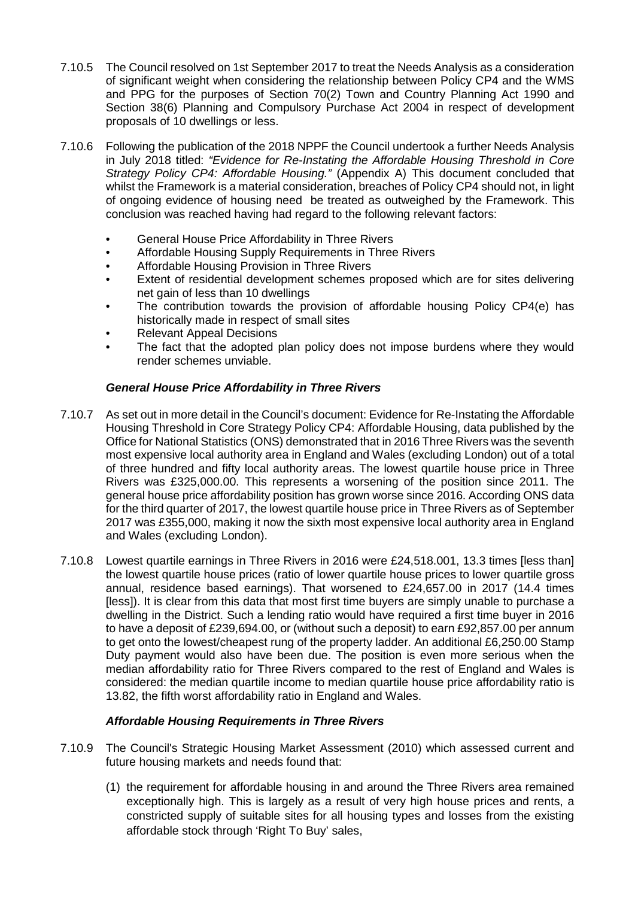- 7.10.5 The Council resolved on 1st September 2017 to treat the Needs Analysis as a consideration of significant weight when considering the relationship between Policy CP4 and the WMS and PPG for the purposes of Section 70(2) Town and Country Planning Act 1990 and Section 38(6) Planning and Compulsory Purchase Act 2004 in respect of development proposals of 10 dwellings or less.
- 7.10.6 Following the publication of the 2018 NPPF the Council undertook a further Needs Analysis in July 2018 titled: *"Evidence for Re-Instating the Affordable Housing Threshold in Core Strategy Policy CP4: Affordable Housing."* (Appendix A) This document concluded that whilst the Framework is a material consideration, breaches of Policy CP4 should not, in light of ongoing evidence of housing need be treated as outweighed by the Framework. This conclusion was reached having had regard to the following relevant factors:
	- General House Price Affordability in Three Rivers
	- Affordable Housing Supply Requirements in Three Rivers
	- Affordable Housing Provision in Three Rivers
	- Extent of residential development schemes proposed which are for sites delivering net gain of less than 10 dwellings
	- The contribution towards the provision of affordable housing Policy CP4(e) has historically made in respect of small sites
	- Relevant Appeal Decisions
	- The fact that the adopted plan policy does not impose burdens where they would render schemes unviable.

# *General House Price Affordability in Three Rivers*

- 7.10.7 As set out in more detail in the Council's document: Evidence for Re-Instating the Affordable Housing Threshold in Core Strategy Policy CP4: Affordable Housing, data published by the Office for National Statistics (ONS) demonstrated that in 2016 Three Rivers was the seventh most expensive local authority area in England and Wales (excluding London) out of a total of three hundred and fifty local authority areas. The lowest quartile house price in Three Rivers was £325,000.00. This represents a worsening of the position since 2011. The general house price affordability position has grown worse since 2016. According ONS data for the third quarter of 2017, the lowest quartile house price in Three Rivers as of September 2017 was £355,000, making it now the sixth most expensive local authority area in England and Wales (excluding London).
- 7.10.8 Lowest quartile earnings in Three Rivers in 2016 were £24,518.001, 13.3 times [less than] the lowest quartile house prices (ratio of lower quartile house prices to lower quartile gross annual, residence based earnings). That worsened to £24,657.00 in 2017 (14.4 times [less]). It is clear from this data that most first time buyers are simply unable to purchase a dwelling in the District. Such a lending ratio would have required a first time buyer in 2016 to have a deposit of £239,694.00, or (without such a deposit) to earn £92,857.00 per annum to get onto the lowest/cheapest rung of the property ladder. An additional £6,250.00 Stamp Duty payment would also have been due. The position is even more serious when the median affordability ratio for Three Rivers compared to the rest of England and Wales is considered: the median quartile income to median quartile house price affordability ratio is 13.82, the fifth worst affordability ratio in England and Wales.

# *Affordable Housing Requirements in Three Rivers*

- 7.10.9 The Council's Strategic Housing Market Assessment (2010) which assessed current and future housing markets and needs found that:
	- (1) the requirement for affordable housing in and around the Three Rivers area remained exceptionally high. This is largely as a result of very high house prices and rents, a constricted supply of suitable sites for all housing types and losses from the existing affordable stock through 'Right To Buy' sales,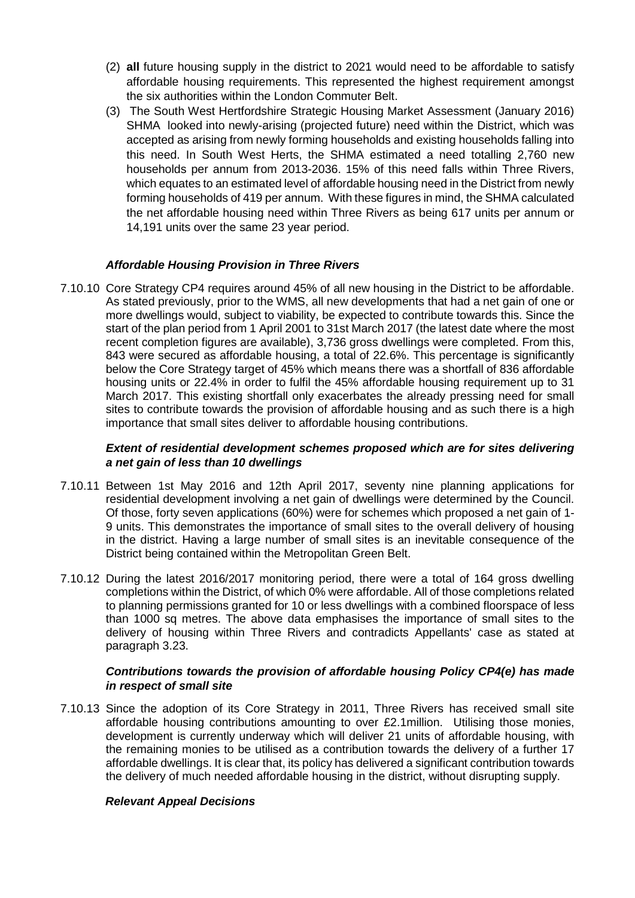- (2) **all** future housing supply in the district to 2021 would need to be affordable to satisfy affordable housing requirements. This represented the highest requirement amongst the six authorities within the London Commuter Belt.
- (3) The South West Hertfordshire Strategic Housing Market Assessment (January 2016) SHMA looked into newly-arising (projected future) need within the District, which was accepted as arising from newly forming households and existing households falling into this need. In South West Herts, the SHMA estimated a need totalling 2,760 new households per annum from 2013-2036. 15% of this need falls within Three Rivers, which equates to an estimated level of affordable housing need in the District from newly forming households of 419 per annum. With these figures in mind, the SHMA calculated the net affordable housing need within Three Rivers as being 617 units per annum or 14,191 units over the same 23 year period.

# *Affordable Housing Provision in Three Rivers*

7.10.10 Core Strategy CP4 requires around 45% of all new housing in the District to be affordable. As stated previously, prior to the WMS, all new developments that had a net gain of one or more dwellings would, subject to viability, be expected to contribute towards this. Since the start of the plan period from 1 April 2001 to 31st March 2017 (the latest date where the most recent completion figures are available), 3,736 gross dwellings were completed. From this, 843 were secured as affordable housing, a total of 22.6%. This percentage is significantly below the Core Strategy target of 45% which means there was a shortfall of 836 affordable housing units or 22.4% in order to fulfil the 45% affordable housing requirement up to 31 March 2017. This existing shortfall only exacerbates the already pressing need for small sites to contribute towards the provision of affordable housing and as such there is a high importance that small sites deliver to affordable housing contributions.

#### *Extent of residential development schemes proposed which are for sites delivering a net gain of less than 10 dwellings*

- 7.10.11 Between 1st May 2016 and 12th April 2017, seventy nine planning applications for residential development involving a net gain of dwellings were determined by the Council. Of those, forty seven applications (60%) were for schemes which proposed a net gain of 1- 9 units. This demonstrates the importance of small sites to the overall delivery of housing in the district. Having a large number of small sites is an inevitable consequence of the District being contained within the Metropolitan Green Belt.
- 7.10.12 During the latest 2016/2017 monitoring period, there were a total of 164 gross dwelling completions within the District, of which 0% were affordable. All of those completions related to planning permissions granted for 10 or less dwellings with a combined floorspace of less than 1000 sq metres. The above data emphasises the importance of small sites to the delivery of housing within Three Rivers and contradicts Appellants' case as stated at paragraph 3.23.

# *Contributions towards the provision of affordable housing Policy CP4(e) has made in respect of small site*

7.10.13 Since the adoption of its Core Strategy in 2011, Three Rivers has received small site affordable housing contributions amounting to over £2.1million. Utilising those monies, development is currently underway which will deliver 21 units of affordable housing, with the remaining monies to be utilised as a contribution towards the delivery of a further 17 affordable dwellings. It is clear that, its policy has delivered a significant contribution towards the delivery of much needed affordable housing in the district, without disrupting supply.

# *Relevant Appeal Decisions*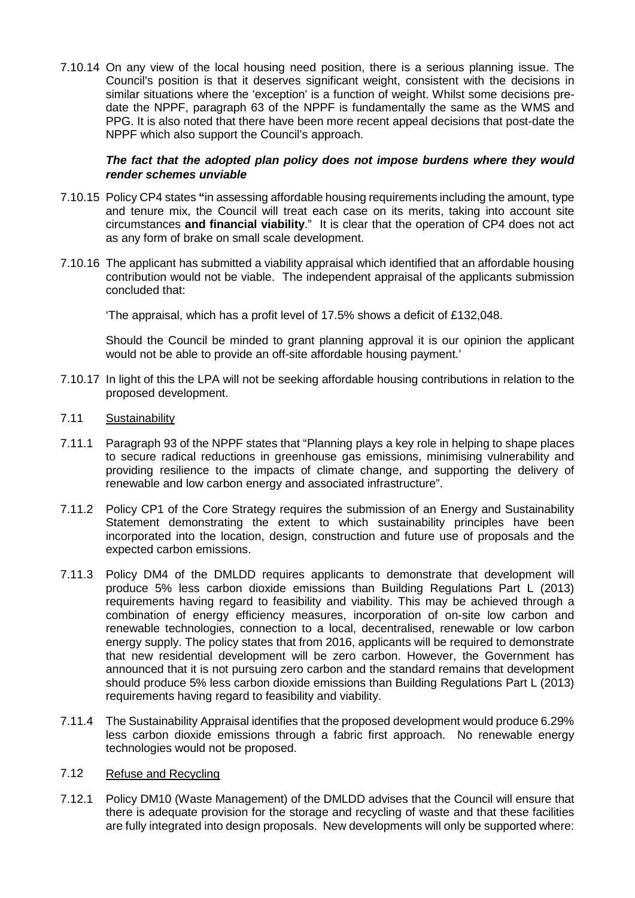7.10.14 On any view of the local housing need position, there is a serious planning issue. The Council's position is that it deserves significant weight, consistent with the decisions in similar situations where the 'exception' is a function of weight. Whilst some decisions predate the NPPF, paragraph 63 of the NPPF is fundamentally the same as the WMS and PPG. It is also noted that there have been more recent appeal decisions that post-date the NPPF which also support the Council's approach.

# *The fact that the adopted plan policy does not impose burdens where they would render schemes unviable*

- 7.10.15 Policy CP4 states **"**in assessing affordable housing requirements including the amount, type and tenure mix, the Council will treat each case on its merits, taking into account site circumstances **and financial viability**." It is clear that the operation of CP4 does not act as any form of brake on small scale development.
- 7.10.16 The applicant has submitted a viability appraisal which identified that an affordable housing contribution would not be viable. The independent appraisal of the applicants submission concluded that:

'The appraisal, which has a profit level of 17.5% shows a deficit of £132,048.

Should the Council be minded to grant planning approval it is our opinion the applicant would not be able to provide an off-site affordable housing payment.'

- 7.10.17 In light of this the LPA will not be seeking affordable housing contributions in relation to the proposed development.
- 7.11 Sustainability
- 7.11.1 Paragraph 93 of the NPPF states that "Planning plays a key role in helping to shape places to secure radical reductions in greenhouse gas emissions, minimising vulnerability and providing resilience to the impacts of climate change, and supporting the delivery of renewable and low carbon energy and associated infrastructure".
- 7.11.2 Policy CP1 of the Core Strategy requires the submission of an Energy and Sustainability Statement demonstrating the extent to which sustainability principles have been incorporated into the location, design, construction and future use of proposals and the expected carbon emissions.
- 7.11.3 Policy DM4 of the DMLDD requires applicants to demonstrate that development will produce 5% less carbon dioxide emissions than Building Regulations Part L (2013) requirements having regard to feasibility and viability. This may be achieved through a combination of energy efficiency measures, incorporation of on-site low carbon and renewable technologies, connection to a local, decentralised, renewable or low carbon energy supply. The policy states that from 2016, applicants will be required to demonstrate that new residential development will be zero carbon. However, the Government has announced that it is not pursuing zero carbon and the standard remains that development should produce 5% less carbon dioxide emissions than Building Regulations Part L (2013) requirements having regard to feasibility and viability.
- 7.11.4 The Sustainability Appraisal identifies that the proposed development would produce 6.29% less carbon dioxide emissions through a fabric first approach. No renewable energy technologies would not be proposed.

# 7.12 Refuse and Recycling

7.12.1 Policy DM10 (Waste Management) of the DMLDD advises that the Council will ensure that there is adequate provision for the storage and recycling of waste and that these facilities are fully integrated into design proposals. New developments will only be supported where: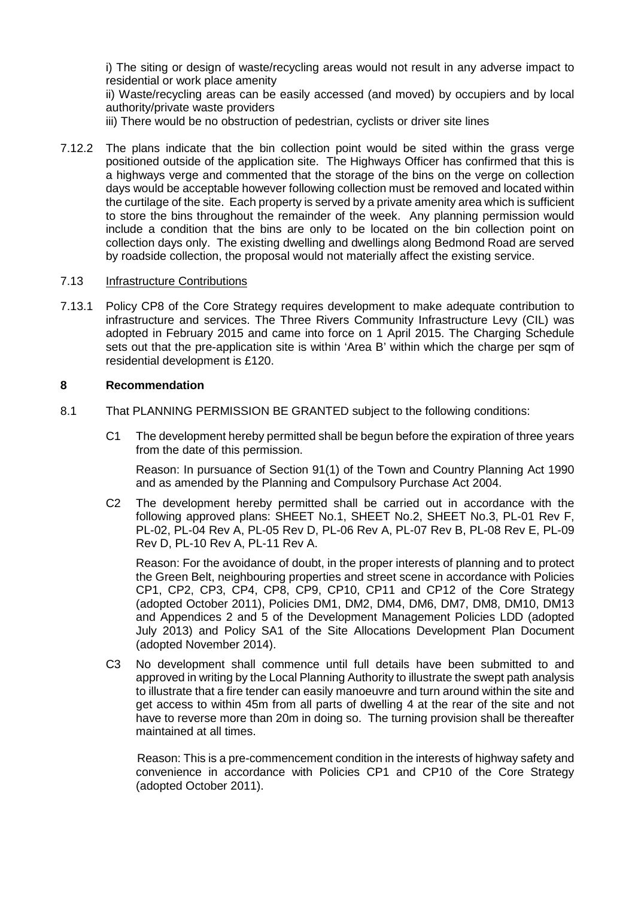i) The siting or design of waste/recycling areas would not result in any adverse impact to residential or work place amenity

ii) Waste/recycling areas can be easily accessed (and moved) by occupiers and by local authority/private waste providers

iii) There would be no obstruction of pedestrian, cyclists or driver site lines

7.12.2 The plans indicate that the bin collection point would be sited within the grass verge positioned outside of the application site. The Highways Officer has confirmed that this is a highways verge and commented that the storage of the bins on the verge on collection days would be acceptable however following collection must be removed and located within the curtilage of the site. Each property is served by a private amenity area which is sufficient to store the bins throughout the remainder of the week. Any planning permission would include a condition that the bins are only to be located on the bin collection point on collection days only. The existing dwelling and dwellings along Bedmond Road are served by roadside collection, the proposal would not materially affect the existing service.

#### 7.13 Infrastructure Contributions

7.13.1 Policy CP8 of the Core Strategy requires development to make adequate contribution to infrastructure and services. The Three Rivers Community Infrastructure Levy (CIL) was adopted in February 2015 and came into force on 1 April 2015. The Charging Schedule sets out that the pre-application site is within 'Area B' within which the charge per sqm of residential development is £120.

# **8 Recommendation**

- 8.1 That PLANNING PERMISSION BE GRANTED subject to the following conditions:
	- C1 The development hereby permitted shall be begun before the expiration of three years from the date of this permission.

Reason: In pursuance of Section 91(1) of the Town and Country Planning Act 1990 and as amended by the Planning and Compulsory Purchase Act 2004.

C2 The development hereby permitted shall be carried out in accordance with the following approved plans: SHEET No.1, SHEET No.2, SHEET No.3, PL-01 Rev F, PL-02, PL-04 Rev A, PL-05 Rev D, PL-06 Rev A, PL-07 Rev B, PL-08 Rev E, PL-09 Rev D, PL-10 Rev A, PL-11 Rev A.

Reason: For the avoidance of doubt, in the proper interests of planning and to protect the Green Belt, neighbouring properties and street scene in accordance with Policies CP1, CP2, CP3, CP4, CP8, CP9, CP10, CP11 and CP12 of the Core Strategy (adopted October 2011), Policies DM1, DM2, DM4, DM6, DM7, DM8, DM10, DM13 and Appendices 2 and 5 of the Development Management Policies LDD (adopted July 2013) and Policy SA1 of the Site Allocations Development Plan Document (adopted November 2014).

C3 No development shall commence until full details have been submitted to and approved in writing by the Local Planning Authority to illustrate the swept path analysis to illustrate that a fire tender can easily manoeuvre and turn around within the site and get access to within 45m from all parts of dwelling 4 at the rear of the site and not have to reverse more than 20m in doing so. The turning provision shall be thereafter maintained at all times.

Reason: This is a pre-commencement condition in the interests of highway safety and convenience in accordance with Policies CP1 and CP10 of the Core Strategy (adopted October 2011).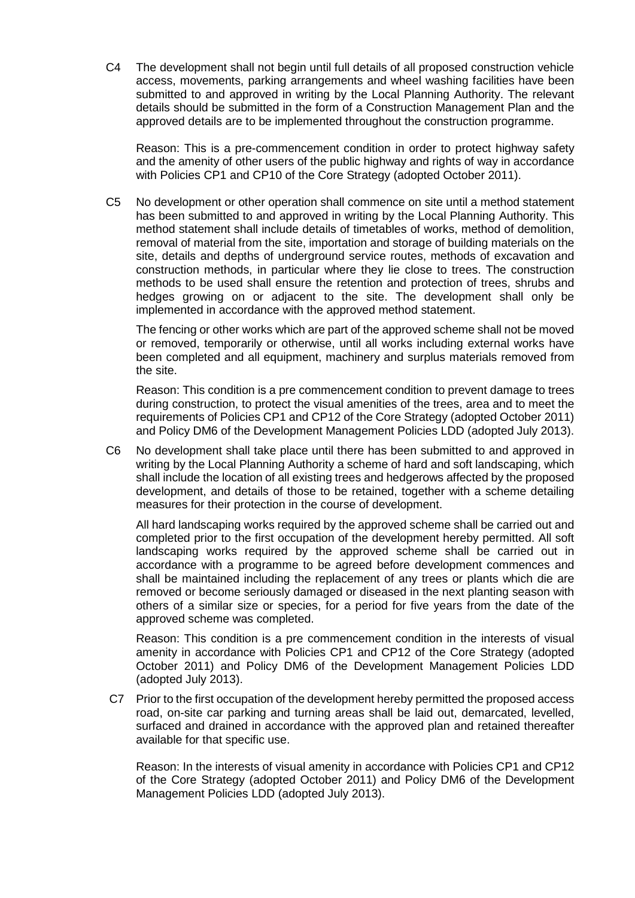C4 The development shall not begin until full details of all proposed construction vehicle access, movements, parking arrangements and wheel washing facilities have been submitted to and approved in writing by the Local Planning Authority. The relevant details should be submitted in the form of a Construction Management Plan and the approved details are to be implemented throughout the construction programme.

Reason: This is a pre-commencement condition in order to protect highway safety and the amenity of other users of the public highway and rights of way in accordance with Policies CP1 and CP10 of the Core Strategy (adopted October 2011).

C5 No development or other operation shall commence on site until a method statement has been submitted to and approved in writing by the Local Planning Authority. This method statement shall include details of timetables of works, method of demolition, removal of material from the site, importation and storage of building materials on the site, details and depths of underground service routes, methods of excavation and construction methods, in particular where they lie close to trees. The construction methods to be used shall ensure the retention and protection of trees, shrubs and hedges growing on or adjacent to the site. The development shall only be implemented in accordance with the approved method statement.

The fencing or other works which are part of the approved scheme shall not be moved or removed, temporarily or otherwise, until all works including external works have been completed and all equipment, machinery and surplus materials removed from the site.

Reason: This condition is a pre commencement condition to prevent damage to trees during construction, to protect the visual amenities of the trees, area and to meet the requirements of Policies CP1 and CP12 of the Core Strategy (adopted October 2011) and Policy DM6 of the Development Management Policies LDD (adopted July 2013).

C6 No development shall take place until there has been submitted to and approved in writing by the Local Planning Authority a scheme of hard and soft landscaping, which shall include the location of all existing trees and hedgerows affected by the proposed development, and details of those to be retained, together with a scheme detailing measures for their protection in the course of development.

All hard landscaping works required by the approved scheme shall be carried out and completed prior to the first occupation of the development hereby permitted. All soft landscaping works required by the approved scheme shall be carried out in accordance with a programme to be agreed before development commences and shall be maintained including the replacement of any trees or plants which die are removed or become seriously damaged or diseased in the next planting season with others of a similar size or species, for a period for five years from the date of the approved scheme was completed.

Reason: This condition is a pre commencement condition in the interests of visual amenity in accordance with Policies CP1 and CP12 of the Core Strategy (adopted October 2011) and Policy DM6 of the Development Management Policies LDD (adopted July 2013).

C7 Prior to the first occupation of the development hereby permitted the proposed access road, on-site car parking and turning areas shall be laid out, demarcated, levelled, surfaced and drained in accordance with the approved plan and retained thereafter available for that specific use.

Reason: In the interests of visual amenity in accordance with Policies CP1 and CP12 of the Core Strategy (adopted October 2011) and Policy DM6 of the Development Management Policies LDD (adopted July 2013).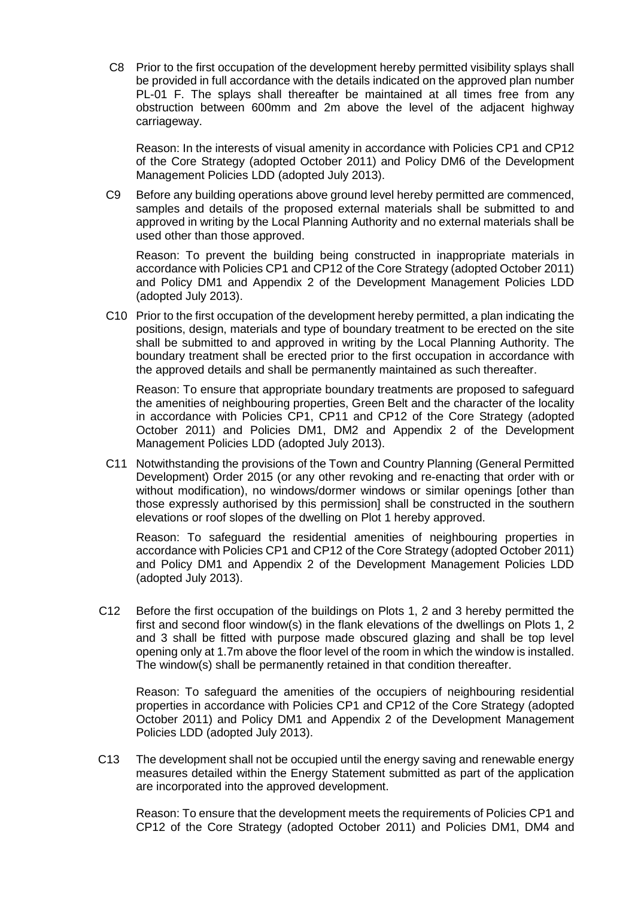C8 Prior to the first occupation of the development hereby permitted visibility splays shall be provided in full accordance with the details indicated on the approved plan number PL-01 F. The splays shall thereafter be maintained at all times free from any obstruction between 600mm and 2m above the level of the adjacent highway carriageway.

Reason: In the interests of visual amenity in accordance with Policies CP1 and CP12 of the Core Strategy (adopted October 2011) and Policy DM6 of the Development Management Policies LDD (adopted July 2013).

C9 Before any building operations above ground level hereby permitted are commenced, samples and details of the proposed external materials shall be submitted to and approved in writing by the Local Planning Authority and no external materials shall be used other than those approved.

Reason: To prevent the building being constructed in inappropriate materials in accordance with Policies CP1 and CP12 of the Core Strategy (adopted October 2011) and Policy DM1 and Appendix 2 of the Development Management Policies LDD (adopted July 2013).

C10 Prior to the first occupation of the development hereby permitted, a plan indicating the positions, design, materials and type of boundary treatment to be erected on the site shall be submitted to and approved in writing by the Local Planning Authority. The boundary treatment shall be erected prior to the first occupation in accordance with the approved details and shall be permanently maintained as such thereafter.

Reason: To ensure that appropriate boundary treatments are proposed to safeguard the amenities of neighbouring properties, Green Belt and the character of the locality in accordance with Policies CP1, CP11 and CP12 of the Core Strategy (adopted October 2011) and Policies DM1, DM2 and Appendix 2 of the Development Management Policies LDD (adopted July 2013).

C11 Notwithstanding the provisions of the Town and Country Planning (General Permitted Development) Order 2015 (or any other revoking and re-enacting that order with or without modification), no windows/dormer windows or similar openings [other than those expressly authorised by this permission] shall be constructed in the southern elevations or roof slopes of the dwelling on Plot 1 hereby approved.

Reason: To safeguard the residential amenities of neighbouring properties in accordance with Policies CP1 and CP12 of the Core Strategy (adopted October 2011) and Policy DM1 and Appendix 2 of the Development Management Policies LDD (adopted July 2013).

C12 Before the first occupation of the buildings on Plots 1, 2 and 3 hereby permitted the first and second floor window(s) in the flank elevations of the dwellings on Plots 1, 2 and 3 shall be fitted with purpose made obscured glazing and shall be top level opening only at 1.7m above the floor level of the room in which the window is installed. The window(s) shall be permanently retained in that condition thereafter.

Reason: To safeguard the amenities of the occupiers of neighbouring residential properties in accordance with Policies CP1 and CP12 of the Core Strategy (adopted October 2011) and Policy DM1 and Appendix 2 of the Development Management Policies LDD (adopted July 2013).

C13 The development shall not be occupied until the energy saving and renewable energy measures detailed within the Energy Statement submitted as part of the application are incorporated into the approved development.

Reason: To ensure that the development meets the requirements of Policies CP1 and CP12 of the Core Strategy (adopted October 2011) and Policies DM1, DM4 and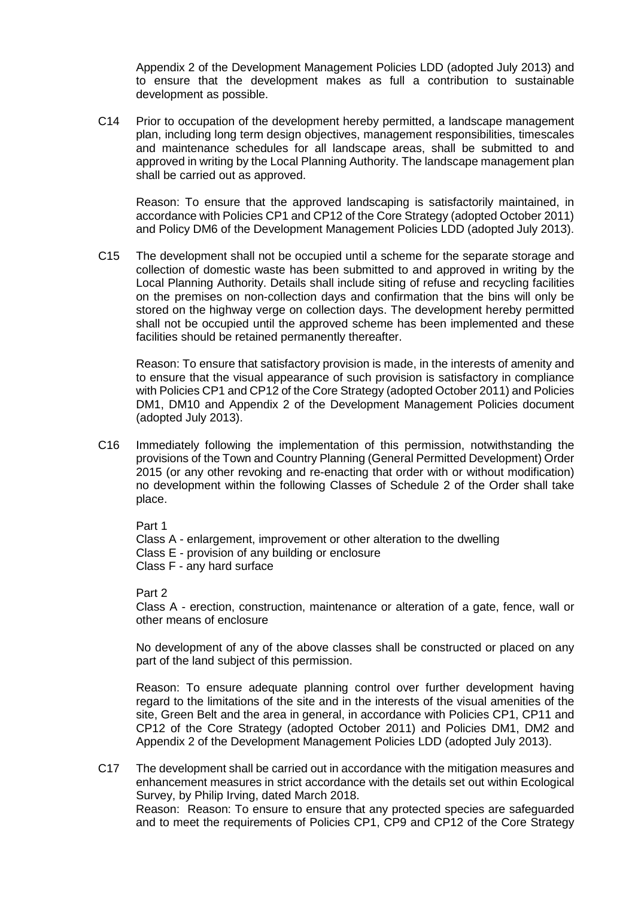Appendix 2 of the Development Management Policies LDD (adopted July 2013) and to ensure that the development makes as full a contribution to sustainable development as possible.

C14 Prior to occupation of the development hereby permitted, a landscape management plan, including long term design objectives, management responsibilities, timescales and maintenance schedules for all landscape areas, shall be submitted to and approved in writing by the Local Planning Authority. The landscape management plan shall be carried out as approved.

Reason: To ensure that the approved landscaping is satisfactorily maintained, in accordance with Policies CP1 and CP12 of the Core Strategy (adopted October 2011) and Policy DM6 of the Development Management Policies LDD (adopted July 2013).

C15 The development shall not be occupied until a scheme for the separate storage and collection of domestic waste has been submitted to and approved in writing by the Local Planning Authority. Details shall include siting of refuse and recycling facilities on the premises on non-collection days and confirmation that the bins will only be stored on the highway verge on collection days. The development hereby permitted shall not be occupied until the approved scheme has been implemented and these facilities should be retained permanently thereafter.

Reason: To ensure that satisfactory provision is made, in the interests of amenity and to ensure that the visual appearance of such provision is satisfactory in compliance with Policies CP1 and CP12 of the Core Strategy (adopted October 2011) and Policies DM1, DM10 and Appendix 2 of the Development Management Policies document (adopted July 2013).

C16 Immediately following the implementation of this permission, notwithstanding the provisions of the Town and Country Planning (General Permitted Development) Order 2015 (or any other revoking and re-enacting that order with or without modification) no development within the following Classes of Schedule 2 of the Order shall take place.

Part 1

Class A - enlargement, improvement or other alteration to the dwelling

Class E - provision of any building or enclosure

Class F - any hard surface

Part 2

Class A - erection, construction, maintenance or alteration of a gate, fence, wall or other means of enclosure

No development of any of the above classes shall be constructed or placed on any part of the land subject of this permission.

Reason: To ensure adequate planning control over further development having regard to the limitations of the site and in the interests of the visual amenities of the site, Green Belt and the area in general, in accordance with Policies CP1, CP11 and CP12 of the Core Strategy (adopted October 2011) and Policies DM1, DM2 and Appendix 2 of the Development Management Policies LDD (adopted July 2013).

C17 The development shall be carried out in accordance with the mitigation measures and enhancement measures in strict accordance with the details set out within Ecological Survey, by Philip Irving, dated March 2018. Reason: Reason: To ensure to ensure that any protected species are safeguarded and to meet the requirements of Policies CP1, CP9 and CP12 of the Core Strategy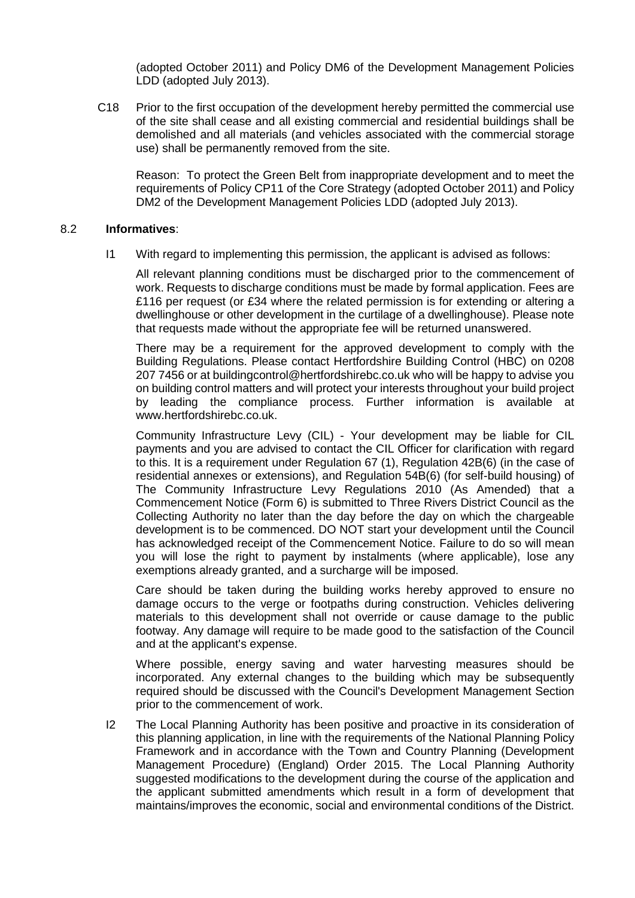(adopted October 2011) and Policy DM6 of the Development Management Policies LDD (adopted July 2013).

C18 Prior to the first occupation of the development hereby permitted the commercial use of the site shall cease and all existing commercial and residential buildings shall be demolished and all materials (and vehicles associated with the commercial storage use) shall be permanently removed from the site.

Reason: To protect the Green Belt from inappropriate development and to meet the requirements of Policy CP11 of the Core Strategy (adopted October 2011) and Policy DM2 of the Development Management Policies LDD (adopted July 2013).

#### 8.2 **Informatives**:

I1 With regard to implementing this permission, the applicant is advised as follows:

All relevant planning conditions must be discharged prior to the commencement of work. Requests to discharge conditions must be made by formal application. Fees are £116 per request (or £34 where the related permission is for extending or altering a dwellinghouse or other development in the curtilage of a dwellinghouse). Please note that requests made without the appropriate fee will be returned unanswered.

There may be a requirement for the approved development to comply with the Building Regulations. Please contact Hertfordshire Building Control (HBC) on 0208 207 7456 or at buildingcontrol@hertfordshirebc.co.uk who will be happy to advise you on building control matters and will protect your interests throughout your build project by leading the compliance process. Further information is available at www.hertfordshirebc.co.uk.

Community Infrastructure Levy (CIL) - Your development may be liable for CIL payments and you are advised to contact the CIL Officer for clarification with regard to this. It is a requirement under Regulation 67 (1), Regulation 42B(6) (in the case of residential annexes or extensions), and Regulation 54B(6) (for self-build housing) of The Community Infrastructure Levy Regulations 2010 (As Amended) that a Commencement Notice (Form 6) is submitted to Three Rivers District Council as the Collecting Authority no later than the day before the day on which the chargeable development is to be commenced. DO NOT start your development until the Council has acknowledged receipt of the Commencement Notice. Failure to do so will mean you will lose the right to payment by instalments (where applicable), lose any exemptions already granted, and a surcharge will be imposed.

Care should be taken during the building works hereby approved to ensure no damage occurs to the verge or footpaths during construction. Vehicles delivering materials to this development shall not override or cause damage to the public footway. Any damage will require to be made good to the satisfaction of the Council and at the applicant's expense.

Where possible, energy saving and water harvesting measures should be incorporated. Any external changes to the building which may be subsequently required should be discussed with the Council's Development Management Section prior to the commencement of work.

I2 The Local Planning Authority has been positive and proactive in its consideration of this planning application, in line with the requirements of the National Planning Policy Framework and in accordance with the Town and Country Planning (Development Management Procedure) (England) Order 2015. The Local Planning Authority suggested modifications to the development during the course of the application and the applicant submitted amendments which result in a form of development that maintains/improves the economic, social and environmental conditions of the District.